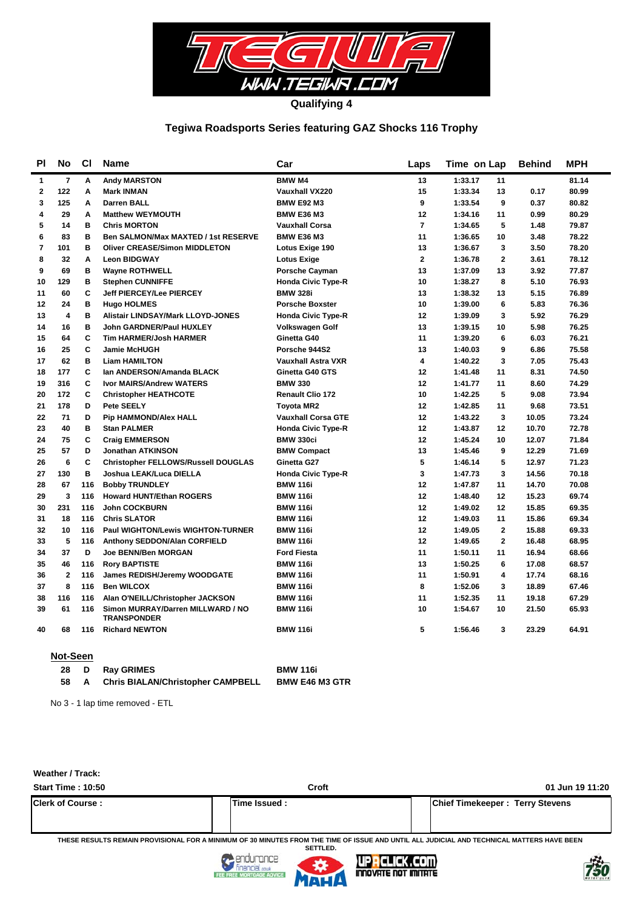

## **Tegiwa Roadsports Series featuring GAZ Shocks 116 Trophy**

| <b>PI</b>    | No             | <b>CI</b> | <b>Name</b>                                             | Car                       | Laps           | Time on Lap               | <b>Behind</b> | <b>MPH</b> |
|--------------|----------------|-----------|---------------------------------------------------------|---------------------------|----------------|---------------------------|---------------|------------|
| 1            | $\overline{7}$ | Α         | <b>Andy MARSTON</b>                                     | <b>BMW M4</b>             | 13             | 1:33.17<br>11             |               | 81.14      |
| $\mathbf{2}$ | 122            | А         | <b>Mark INMAN</b>                                       | <b>Vauxhall VX220</b>     | 15             | 1:33.34<br>13             | 0.17          | 80.99      |
| 3            | 125            | A         | <b>Darren BALL</b>                                      | <b>BMW E92 M3</b>         | 9              | 9<br>1:33.54              | 0.37          | 80.82      |
| 4            | 29             | A         | <b>Matthew WEYMOUTH</b>                                 | <b>BMW E36 M3</b>         | 12             | 1:34.16<br>11             | 0.99          | 80.29      |
| 5            | 14             | в         | <b>Chris MORTON</b>                                     | <b>Vauxhall Corsa</b>     | $\overline{7}$ | 5<br>1:34.65              | 1.48          | 79.87      |
| 6            | 83             | в         | Ben SALMON/Max MAXTED / 1st RESERVE                     | <b>BMW E36 M3</b>         | 11             | 10<br>1:36.65             | 3.48          | 78.22      |
| 7            | 101            | в         | <b>Oliver CREASE/Simon MIDDLETON</b>                    | Lotus Exige 190           | 13             | 1:36.67<br>3              | 3.50          | 78.20      |
| 8            | 32             | A         | <b>Leon BIDGWAY</b>                                     | <b>Lotus Exige</b>        | $\overline{2}$ | $\overline{2}$<br>1:36.78 | 3.61          | 78.12      |
| 9            | 69             | в         | <b>Wayne ROTHWELL</b>                                   | <b>Porsche Cayman</b>     | 13             | 1:37.09<br>13             | 3.92          | 77.87      |
| 10           | 129            | в         | <b>Stephen CUNNIFFE</b>                                 | <b>Honda Civic Type-R</b> | 10             | 8<br>1:38.27              | 5.10          | 76.93      |
| 11           | 60             | C         | <b>Jeff PIERCEY/Lee PIERCEY</b>                         | <b>BMW 328i</b>           | 13             | 1:38.32<br>13             | 5.15          | 76.89      |
| 12           | 24             | в         | <b>Hugo HOLMES</b>                                      | <b>Porsche Boxster</b>    | 10             | 6<br>1:39.00              | 5.83          | 76.36      |
| 13           | 4              | B         | <b>Alistair LINDSAY/Mark LLOYD-JONES</b>                | <b>Honda Civic Type-R</b> | 12             | 3<br>1:39.09              | 5.92          | 76.29      |
| 14           | 16             | в         | <b>John GARDNER/Paul HUXLEY</b>                         | <b>Volkswagen Golf</b>    | 13             | 1:39.15<br>10             | 5.98          | 76.25      |
| 15           | 64             | C         | <b>Tim HARMER/Josh HARMER</b>                           | Ginetta G40               | 11             | 1:39.20<br>6              | 6.03          | 76.21      |
| 16           | 25             | C         | <b>Jamie McHUGH</b>                                     | Porsche 944S2             | 13             | 1:40.03<br>9              | 6.86          | 75.58      |
| 17           | 62             | в         | <b>Liam HAMILTON</b>                                    | <b>Vauxhall Astra VXR</b> | 4              | 3<br>1:40.22              | 7.05          | 75.43      |
| 18           | 177            | C         | Ian ANDERSON/Amanda BLACK                               | Ginetta G40 GTS           | 12             | 11<br>1:41.48             | 8.31          | 74.50      |
| 19           | 316            | C         | <b>Ivor MAIRS/Andrew WATERS</b>                         | <b>BMW 330</b>            | 12             | 1:41.77<br>11             | 8.60          | 74.29      |
| 20           | 172            | C         | <b>Christopher HEATHCOTE</b>                            | <b>Renault Clio 172</b>   | 10             | 1:42.25<br>5              | 9.08          | 73.94      |
| 21           | 178            | D         | Pete SEELY                                              | <b>Toyota MR2</b>         | 12             | 1:42.85<br>11             | 9.68          | 73.51      |
| 22           | 71             | D         | <b>Pip HAMMOND/Alex HALL</b>                            | <b>Vauxhall Corsa GTE</b> | 12             | 1:43.22<br>3              | 10.05         | 73.24      |
| 23           | 40             | в         | <b>Stan PALMER</b>                                      | <b>Honda Civic Type-R</b> | 12             | 1:43.87<br>12             | 10.70         | 72.78      |
| 24           | 75             | C         | <b>Craig EMMERSON</b>                                   | <b>BMW 330ci</b>          | 12             | 1:45.24<br>10             | 12.07         | 71.84      |
| 25           | 57             | D         | <b>Jonathan ATKINSON</b>                                | <b>BMW Compact</b>        | 13             | 1:45.46<br>9              | 12.29         | 71.69      |
| 26           | 6              | C         | <b>Christopher FELLOWS/Russell DOUGLAS</b>              | Ginetta G27               | 5              | 1:46.14<br>5              | 12.97         | 71.23      |
| 27           | 130            | B         | Joshua LEAK/Luca DIELLA                                 | <b>Honda Civic Type-R</b> | 3              | 1:47.73<br>3              | 14.56         | 70.18      |
| 28           | 67             | 116       | <b>Bobby TRUNDLEY</b>                                   | <b>BMW 116i</b>           | 12             | 1:47.87<br>11             | 14.70         | 70.08      |
| 29           | 3              | 116       | <b>Howard HUNT/Ethan ROGERS</b>                         | <b>BMW 116i</b>           | 12             | 1:48.40<br>12             | 15.23         | 69.74      |
| 30           | 231            | 116       | <b>John COCKBURN</b>                                    | <b>BMW 116i</b>           | 12             | 1:49.02<br>12             | 15.85         | 69.35      |
| 31           | 18             | 116       | <b>Chris SLATOR</b>                                     | <b>BMW 116i</b>           | 12             | 1:49.03<br>11             | 15.86         | 69.34      |
| 32           | 10             | 116       | <b>Paul WIGHTON/Lewis WIGHTON-TURNER</b>                | <b>BMW 116i</b>           | 12             | $\overline{2}$<br>1:49.05 | 15.88         | 69.33      |
| 33           | 5              | 116       | Anthony SEDDON/Alan CORFIELD                            | <b>BMW 116i</b>           | 12             | 1:49.65<br>$\mathbf{2}$   | 16.48         | 68.95      |
| 34           | 37             | D         | Joe BENN/Ben MORGAN                                     | <b>Ford Fiesta</b>        | 11             | 1:50.11<br>11             | 16.94         | 68.66      |
| 35           | 46             | 116       | <b>Rory BAPTISTE</b>                                    | <b>BMW 116i</b>           | 13             | 1:50.25<br>6              | 17.08         | 68.57      |
| 36           | $\overline{2}$ | 116       | James REDISH/Jeremy WOODGATE                            | <b>BMW 116i</b>           | 11             | 4<br>1:50.91              | 17.74         | 68.16      |
| 37           | 8              | 116       | <b>Ben WILCOX</b>                                       | <b>BMW 116i</b>           | 8              | 1:52.06<br>3              | 18.89         | 67.46      |
| 38           | 116            | 116       | Alan O'NEILL/Christopher JACKSON                        | <b>BMW 116i</b>           | 11             | 1:52.35<br>11             | 19.18         | 67.29      |
| 39           | 61             | 116       | Simon MURRAY/Darren MILLWARD / NO<br><b>TRANSPONDER</b> | <b>BMW 116i</b>           | 10             | 1:54.67<br>10             | 21.50         | 65.93      |
| 40           | 68             | 116       | <b>Richard NEWTON</b>                                   | <b>BMW 116i</b>           | 5              | 1:56.46<br>3              | 23.29         | 64.91      |
|              |                |           |                                                         |                           |                |                           |               |            |

#### **Not-Seen**

| -28 | D Ray GRIMES                             | <b>BMW 116i</b>       |
|-----|------------------------------------------|-----------------------|
| 58. | <b>Chris BIALAN/Christopher CAMPBELL</b> | <b>BMW E46 M3 GTR</b> |

No 3 - 1 lap time removed - ETL

## **Weather / Track:**

| <b>Start Time: 10:50</b> | Croft          | 01 Jun 19 11:20                        |
|--------------------------|----------------|----------------------------------------|
| <b>Clerk of Course:</b>  | lTime Issued : | <b>Chief Timekeeper: Terry Stevens</b> |

**THESE RESULTS REMAIN PROVISIONAL FOR A MINIMUM OF 30 MINUTES FROM THE TIME OF ISSUE AND UNTIL ALL JUDICIAL AND TECHNICAL MATTERS HAVE BEEN** 





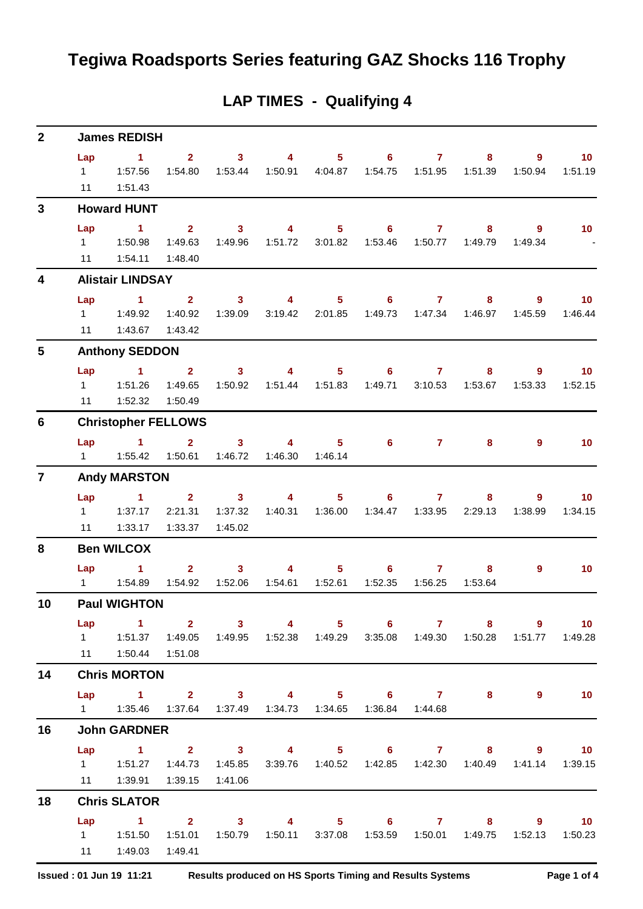## **Tegiwa Roadsports Series featuring GAZ Shocks 116 Trophy**

## **2 Lap 1 2 3 4 5 6 7 8 9 10 James REDISH** 1 1:57.56 1:54.80 1:53.44 1:50.91 4:04.87 1:54.75 1:51.95 1:51.39 1:50.94 1:51.19 11 1:51.43 **3 Lap 1 2 3 4 5 6 7 8 9 10 Howard HUNT** 1 1:50.98 1:49.63 1:49.96 1:51.72 3:01.82 1:53.46 1:50.77 1:49.79 1:49.34 - 11 1:54.11 1:48.40 **4 Lap 1 2 3 4 5 6 7 8 9 10 Alistair LINDSAY** 1 1:49.92 1:40.92 1:39.09 3:19.42 2:01.85 1:49.73 1:47.34 1:46.97 1:45.59 1:46.44 11 1:43.67 1:43.42 **5 Lap 1 2 3 4 5 6 7 8 9 10 Anthony SEDDON** 1 1:51.26 1:49.65 1:50.92 1:51.44 1:51.83 1:49.71 3:10.53 1:53.67 1:53.33 1:52.15 11 1:52.32 1:50.49 **6 Lap 1 2 3 4 5 6 7 8 9 10 Christopher FELLOWS** 1 1:55.42 1:50.61 1:46.72 1:46.30 1:46.14 **7 Lap 1 2 3 4 5 6 7 8 9 10 Andy MARSTON** 1 1:37.17 2:21.31 1:37.32 1:40.31 1:36.00 1:34.47 1:33.95 2:29.13 1:38.99 1:34.15 11 1:33.17 1:33.37 1:45.02 **8 Lap 1 2 3 4 5 6 7 8 9 10 Ben WILCOX** 1 1:54.89 1:54.92 1:52.06 1:54.61 1:52.61 1:52.35 1:56.25 1:53.64 **10 Lap 1 2 3 4 5 6 7 8 9 10 Paul WIGHTON** 1 1:51.37 1:49.05 1:49.95 1:52.38 1:49.29 3:35.08 1:49.30 1:50.28 1:51.77 1:49.28 11 1:50.44 1:51.08 **14 Lap 1 2 3 4 5 6 7 8 9 10 Chris MORTON** 1 1:35.46 1:37.64 1:37.49 1:34.73 1:34.65 1:36.84 1:44.68 **16 Lap 1 2 3 4 5 6 7 8 9 10 John GARDNER** 1 1:51.27 1:44.73 1:45.85 3:39.76 1:40.52 1:42.85 1:42.30 1:40.49 1:41.14 1:39.15 11 1:39.91 1:39.15 1:41.06 **18 Lap 1 2 3 4 5 6 7 8 9 10 Chris SLATOR** 1 1:51.50 1:51.01 1:50.79 1:50.11 3:37.08 1:53.59 1:50.01 1:49.75 1:52.13 1:50.23

## **LAP TIMES - Qualifying 4**

11 1:49.03 1:49.41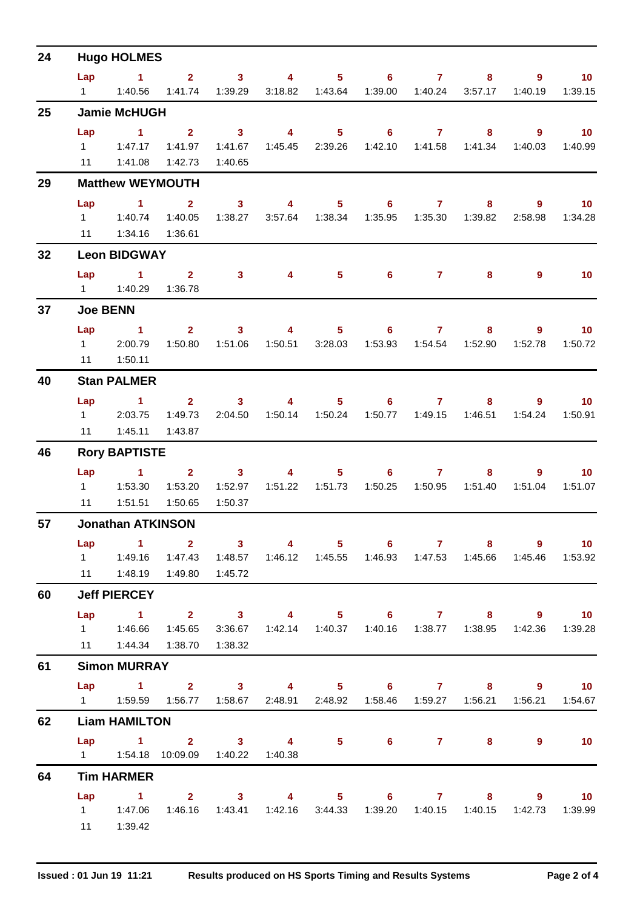| 24 |                 | <b>Hugo HOLMES</b>       |                                                                                                       |                         |                         |                   |                   |              |                  |                                                                        |                  |
|----|-----------------|--------------------------|-------------------------------------------------------------------------------------------------------|-------------------------|-------------------------|-------------------|-------------------|--------------|------------------|------------------------------------------------------------------------|------------------|
|    | Lap             | $\sim$ 1                 | 2 <sup>7</sup>                                                                                        | $\overline{\mathbf{3}}$ | $\overline{\mathbf{4}}$ | $5 -$             | $6^{\circ}$       | $\mathbf{7}$ | 8                | 9                                                                      | 10               |
|    | $1 \quad \Box$  | 1:40.56                  | 1:41.74                                                                                               | 1:39.29                 | 3:18.82                 | 1:43.64           | 1:39.00           | 1:40.24      | 3:57.17          | 1:40.19                                                                | 1:39.15          |
| 25 |                 | <b>Jamie McHUGH</b>      |                                                                                                       |                         |                         |                   |                   |              |                  |                                                                        |                  |
|    | Lap             | $\sim$ 1                 | 2 <sup>1</sup>                                                                                        | $\overline{\mathbf{3}}$ | $\overline{\mathbf{4}}$ | 5 <sub>5</sub>    | $6^{\circ}$       | $\mathbf{7}$ | 8                | $\overline{9}$                                                         | 10               |
|    | $1 \quad$       | 1:47.17                  | 1:41.97                                                                                               | 1:41.67                 | 1:45.45                 | 2:39.26           | 1:42.10           | 1:41.58      | 1:41.34          | 1:40.03                                                                | 1:40.99          |
|    | 11              | 1:41.08                  | 1:42.73                                                                                               | 1:40.65                 |                         |                   |                   |              |                  |                                                                        |                  |
| 29 |                 | <b>Matthew WEYMOUTH</b>  |                                                                                                       |                         |                         |                   |                   |              |                  |                                                                        |                  |
|    | Lap             | $\sim$ 1                 | $\mathbf{2}$                                                                                          | 3 <sup>7</sup>          | $\overline{\mathbf{4}}$ | 5 <sub>1</sub>    | $6^{\circ}$       | $\mathbf{7}$ | 8                | 9                                                                      | 10               |
|    | $1 \quad$<br>11 | 1:40.74<br>1:34.16       | 1:40.05<br>1:36.61                                                                                    | 1:38.27                 |                         | 3:57.64 1:38.34   | 1:35.95           | 1:35.30      | 1:39.82          | 2:58.98                                                                | 1:34.28          |
| 32 |                 | <b>Leon BIDGWAY</b>      |                                                                                                       |                         |                         |                   |                   |              |                  |                                                                        |                  |
|    | Lap             | $\sim$ $\sim$ 1          |                                                                                                       |                         | $\overline{4}$          |                   | 6                 |              |                  |                                                                        | 10 <sup>°</sup>  |
|    | $1 \quad \Box$  | 1:40.29                  | $\mathbf{2}$<br>1:36.78                                                                               | 3 <sup>1</sup>          |                         | 5 <sub>1</sub>    |                   | $\mathbf{7}$ | 8                | 9                                                                      |                  |
| 37 |                 | <b>Joe BENN</b>          |                                                                                                       |                         |                         |                   |                   |              |                  |                                                                        |                  |
|    | Lap             | $\blacktriangleleft$     | 2 <sup>1</sup>                                                                                        | 3 <sup>1</sup>          | 4                       | 5 <sub>1</sub>    | 6                 | $\mathbf{7}$ | 8                | 9                                                                      | 10 <sub>1</sub>  |
|    | $1 \quad \Box$  | 2:00.79                  | 1:50.80                                                                                               | 1:51.06                 |                         | 1:50.51 3:28.03   | 1:53.93           |              | 1:54.54  1:52.90 | 1:52.78                                                                | 1:50.72          |
|    | 11              | 1:50.11                  |                                                                                                       |                         |                         |                   |                   |              |                  |                                                                        |                  |
| 40 |                 | <b>Stan PALMER</b>       |                                                                                                       |                         |                         |                   |                   |              |                  |                                                                        |                  |
|    | Lap             | $\sim$ 1                 | $\overline{2}$                                                                                        | $\mathbf{3}$            | $\overline{4}$          | $5 -$             | 6                 | $\mathbf{7}$ | 8                | 9                                                                      | 10               |
|    | $1 \quad$       | 2:03.75                  | 1:49.73                                                                                               | 2:04.50                 | 1:50.14                 | 1:50.24           | 1:50.77           | 1:49.15      | 1:46.51          | 1:54.24                                                                | 1:50.91          |
|    | 11              | 1:45.11                  | 1:43.87                                                                                               |                         |                         |                   |                   |              |                  |                                                                        |                  |
| 46 |                 | <b>Rory BAPTISTE</b>     |                                                                                                       |                         |                         |                   |                   |              |                  |                                                                        |                  |
|    | Lap             | $\blacktriangleleft$     | 2 <sup>1</sup>                                                                                        | $\mathbf{3}$            | 4                       | 5 <sup>1</sup>    | 6.                | $\mathbf{7}$ | 8                | 9                                                                      | 10 <sup>°</sup>  |
|    | 11              | 1:51.51                  | 1:53.20<br>1:50.65                                                                                    | 1:52.97<br>1:50.37      |                         | 1:51.22   1:51.73 | 1:50.25           | 1:50.95      | 1:51.40          | 1:51.04                                                                | 1:51.07          |
| 57 |                 | <b>Jonathan ATKINSON</b> |                                                                                                       |                         |                         |                   |                   |              |                  |                                                                        |                  |
|    |                 | $\sim$ 1.1               | $\overline{\mathbf{2}}$ $\overline{\mathbf{3}}$                                                       |                         | $\sim$ 4 $\sim$         |                   |                   |              |                  |                                                                        | $9 \t 10$        |
|    | Lap             |                          | 1   1:49.16   1:47.43   1:48.57   1:46.12   1:45.55   1:46.93   1:47.53   1:45.66   1:45.46   1:53.92 |                         |                         |                   | $5 \t\t 6 \t\t 7$ |              |                  |                                                                        |                  |
|    |                 |                          | 11   1:48.19   1:49.80                                                                                | 1:45.72                 |                         |                   |                   |              |                  |                                                                        |                  |
| 60 |                 | <b>Jeff PIERCEY</b>      |                                                                                                       |                         |                         |                   |                   |              |                  |                                                                        |                  |
|    |                 |                          | Lap 1 2 3 4 5 6 7 8 9 10                                                                              |                         |                         |                   |                   |              |                  |                                                                        |                  |
|    |                 | 1  1:46.66               | 1:45.65                                                                                               |                         |                         |                   |                   |              |                  | 3:36.67  1:42.14  1:40.37  1:40.16  1:38.77  1:38.95  1:42.36  1:39.28 |                  |
|    |                 | 11  1:44.34  1:38.70     |                                                                                                       | 1:38.32                 |                         |                   |                   |              |                  |                                                                        |                  |
| 61 |                 | <b>Simon MURRAY</b>      |                                                                                                       |                         |                         |                   |                   |              |                  |                                                                        |                  |
|    |                 |                          | Lap 1 2 3 4 5 6 7 8 9 10                                                                              |                         |                         |                   |                   |              |                  |                                                                        |                  |
|    |                 |                          | 1   1:59.59   1:56.77   1:58.67   2:48.91   2:48.92   1:58.46   1:59.27   1:56.21   1:56.21   1:54.67 |                         |                         |                   |                   |              |                  |                                                                        |                  |
| 62 |                 | <b>Liam HAMILTON</b>     |                                                                                                       |                         |                         |                   |                   |              |                  |                                                                        |                  |
|    |                 |                          | Lap 1 2 3 4 5 6 7 8<br>1   1:54.18   10:09.09   1:40.22   1:40.38                                     |                         |                         |                   |                   |              |                  | $9^{\circ}$                                                            | $\overline{10}$  |
| 64 |                 | <b>Tim HARMER</b>        |                                                                                                       |                         |                         |                   |                   |              |                  |                                                                        |                  |
|    |                 |                          | Lap 1 2 3 4 5 6 7 8 9 10                                                                              |                         |                         |                   |                   |              |                  |                                                                        |                  |
|    |                 |                          | 1   1:47.06   1:46.16   1:43.41   1:42.16   3:44.33   1:39.20   1:40.15   1:40.15                     |                         |                         |                   |                   |              |                  |                                                                        | 1:42.73  1:39.99 |
|    |                 | 11   1:39.42             |                                                                                                       |                         |                         |                   |                   |              |                  |                                                                        |                  |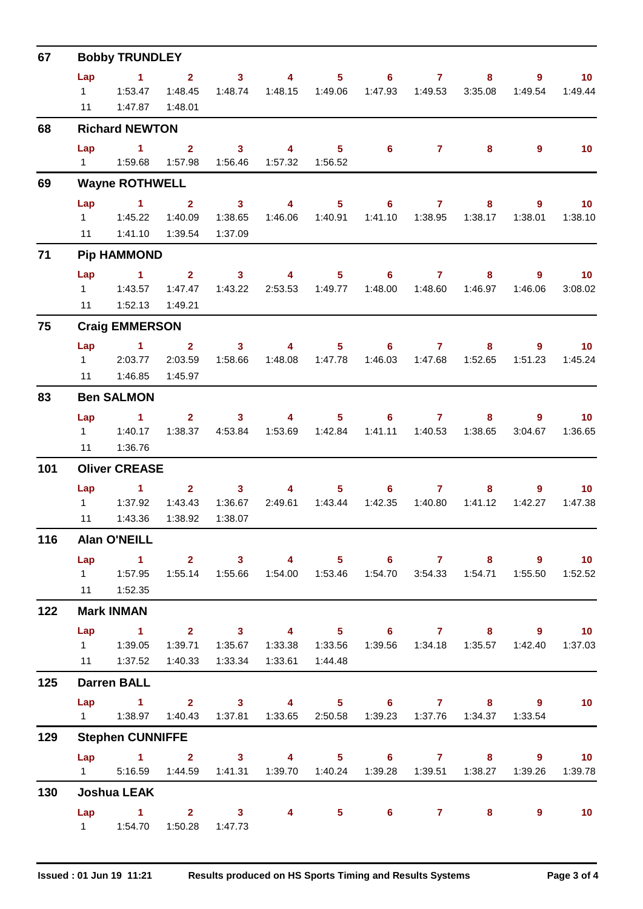| 67  | <b>Bobby TRUNDLEY</b>               |                                                                                                                                                         |                                               |                                               |                                                                                 |                                    |                           |                         |                                |                        |                            |  |  |  |
|-----|-------------------------------------|---------------------------------------------------------------------------------------------------------------------------------------------------------|-----------------------------------------------|-----------------------------------------------|---------------------------------------------------------------------------------|------------------------------------|---------------------------|-------------------------|--------------------------------|------------------------|----------------------------|--|--|--|
|     | Lap<br>$1 \quad \blacksquare$<br>11 | $\blacktriangleleft$<br>1:53.47                                                                                                                         | $\overline{2}$<br>1:48.45<br>1:47.87  1:48.01 | 3 <sup>1</sup><br>1:48.74                     | $\overline{4}$                                                                  | $5 -$                              | $6 -$<br>1:47.93          | $\mathbf{7}$<br>1:49.53 | 8<br>3:35.08                   | 9<br>1:49.54           | 10 <sub>1</sub><br>1:49.44 |  |  |  |
| 68  |                                     | <b>Richard NEWTON</b>                                                                                                                                   |                                               |                                               |                                                                                 |                                    |                           |                         |                                |                        |                            |  |  |  |
|     | Lap                                 | $\mathbf{1}$                                                                                                                                            | $\overline{2}$<br>1:57.98                     | 3 <sup>7</sup><br>1:56.46                     | $\overline{4}$<br>1:57.32                                                       | 5 <sup>1</sup><br>1:56.52          | $6^{\circ}$               | $\mathbf{7}$            | 8                              | $\overline{9}$         | 10 <sup>°</sup>            |  |  |  |
| 69  |                                     | <b>Wayne ROTHWELL</b>                                                                                                                                   |                                               |                                               |                                                                                 |                                    |                           |                         |                                |                        |                            |  |  |  |
|     | Lap<br>11                           | $\sim$ 1<br>1 1:45.22<br>1:41.10                                                                                                                        | $\overline{2}$<br>1:40.09<br>1:39.54          | $\overline{\mathbf{3}}$<br>1:38.65<br>1:37.09 | $\overline{\mathbf{4}}$                                                         | 5 <sup>1</sup><br>1:46.06  1:40.91 | 6 <sup>1</sup><br>1:41.10 | $\mathbf{7}$<br>1:38.95 | 8<br>1:38.17                   | $9^{\circ}$<br>1:38.01 | 10 <sup>°</sup><br>1:38.10 |  |  |  |
| 71  |                                     | <b>Pip HAMMOND</b>                                                                                                                                      |                                               |                                               |                                                                                 |                                    |                           |                         |                                |                        |                            |  |  |  |
|     | Lap<br>$1 \quad$<br>11              | $\sim$ 1<br>1:43.57<br>1:52.13                                                                                                                          | $2^{\circ}$<br>1:47.47<br>1:49.21             | $\overline{\mathbf{3}}$<br>1:43.22            | $\overline{4}$                                                                  | 5 <sub>1</sub><br>2:53.53 1:49.77  | $6^{\circ}$<br>1:48.00    | $\mathbf{7}$<br>1:48.60 | 8<br>1:46.97                   | 9<br>1:46.06           | 10 <sub>1</sub><br>3:08.02 |  |  |  |
| 75  |                                     | <b>Craig EMMERSON</b>                                                                                                                                   |                                               |                                               |                                                                                 |                                    |                           |                         |                                |                        |                            |  |  |  |
|     | Lap<br>$1 \quad \Box$<br>11         | $\sim$ 1.000 $\sim$ 1.000 $\sim$<br>2:03.77<br>1:46.85                                                                                                  | $\overline{2}$<br>2:03.59<br>1:45.97          | 3 <sup>7</sup><br>1:58.66                     | $\overline{4}$                                                                  | 5 <sub>1</sub><br>1:48.08  1:47.78 | $6 -$<br>1:46.03          | $\mathbf{7}$            | 8                              | $9^{\circ}$<br>1:51.23 | 10 <sup>°</sup><br>1:45.24 |  |  |  |
| 83  |                                     | <b>Ben SALMON</b>                                                                                                                                       |                                               |                                               |                                                                                 |                                    |                           |                         |                                |                        |                            |  |  |  |
|     | Lap<br>$1 \quad$<br>11              | $\sim$ 1<br>1:40.17<br>1:36.76                                                                                                                          | 2 <sup>7</sup><br>1:38.37                     | 3 <sup>7</sup><br>4:53.84                     | $\overline{4}$                                                                  | 5 <sub>1</sub><br>1:53.69  1:42.84 | 6 <sup>1</sup>            | $\overline{7}$          | 8<br>1:41.11  1:40.53  1:38.65 | 9<br>3:04.67           | 10 <sub>1</sub><br>1:36.65 |  |  |  |
| 101 |                                     | <b>Oliver CREASE</b>                                                                                                                                    |                                               |                                               |                                                                                 |                                    |                           |                         |                                |                        |                            |  |  |  |
|     | Lap<br>$1 \quad$<br>11              | $\sim$ $\sim$ 1<br>1:37.92<br>1:43.36                                                                                                                   | 1:43.43<br>1:38.92                            | $2 \t 3$<br>1:36.67<br>1:38.07                | 4                                                                               | 5 <sup>1</sup><br>2:49.61  1:43.44 | $6^{\circ}$<br>1:42.35    | $\mathbf{7}$<br>1:40.80 | 8<br>1:41.12                   | 9<br>1:42.27           | 10 <sup>°</sup><br>1:47.38 |  |  |  |
| 116 |                                     | <b>Alan O'NEILL</b>                                                                                                                                     |                                               |                                               |                                                                                 |                                    |                           |                         |                                |                        |                            |  |  |  |
|     | Lap                                 | 1 2 3 4 5 6 7 8 9 10<br>1    1:57.95    1:55.14    1:55.66    1:54.00    1:53.46    1:54.70    3:54.33    1:54.71    1:55.50    1:52.52<br>11   1:52.35 |                                               |                                               |                                                                                 |                                    |                           |                         |                                |                        |                            |  |  |  |
| 122 |                                     | <b>Mark INMAN</b>                                                                                                                                       |                                               |                                               |                                                                                 |                                    |                           |                         |                                |                        |                            |  |  |  |
|     |                                     | Lap 1 2 3 4 5 6 7 8 9 10<br>11  1:37.52  1:40.33  1:33.34  1:33.61  1:44.48                                                                             |                                               |                                               | 1:39.71  1:35.67  1:33.38  1:33.56  1:39.56  1:34.18  1:35.57  1:42.40  1:37.03 |                                    |                           |                         |                                |                        |                            |  |  |  |
| 125 |                                     | <b>Darren BALL</b>                                                                                                                                      |                                               |                                               |                                                                                 |                                    |                           |                         |                                |                        |                            |  |  |  |
|     |                                     | Lap 1 2 3 4 5 6 7 8 9 10<br>1   1:38.97   1:40.43   1:37.81   1:33.65   2:50.58   1:39.23   1:37.76   1:34.37   1:33.54                                 |                                               |                                               |                                                                                 |                                    |                           |                         |                                |                        |                            |  |  |  |
| 129 |                                     | <b>Stephen CUNNIFFE</b>                                                                                                                                 |                                               |                                               |                                                                                 |                                    |                           |                         |                                |                        |                            |  |  |  |
|     |                                     | Lap 1 2 3 4 5 6 7 8 9 10<br>1 5:16.59  1:44.59  1:41.31  1:39.70  1:40.24  1:39.28  1:39.51  1:38.27                                                    |                                               |                                               |                                                                                 |                                    |                           |                         |                                | 1:39.26                | 1:39.78                    |  |  |  |
| 130 |                                     | <b>Joshua LEAK</b>                                                                                                                                      |                                               |                                               |                                                                                 |                                    |                           |                         |                                |                        |                            |  |  |  |
|     |                                     | Lap 1 2 3 4 5 6 7 8<br>1   1:54.70   1:50.28   1:47.73                                                                                                  |                                               |                                               |                                                                                 |                                    |                           |                         |                                | $9^{\circ}$            | $\overline{10}$            |  |  |  |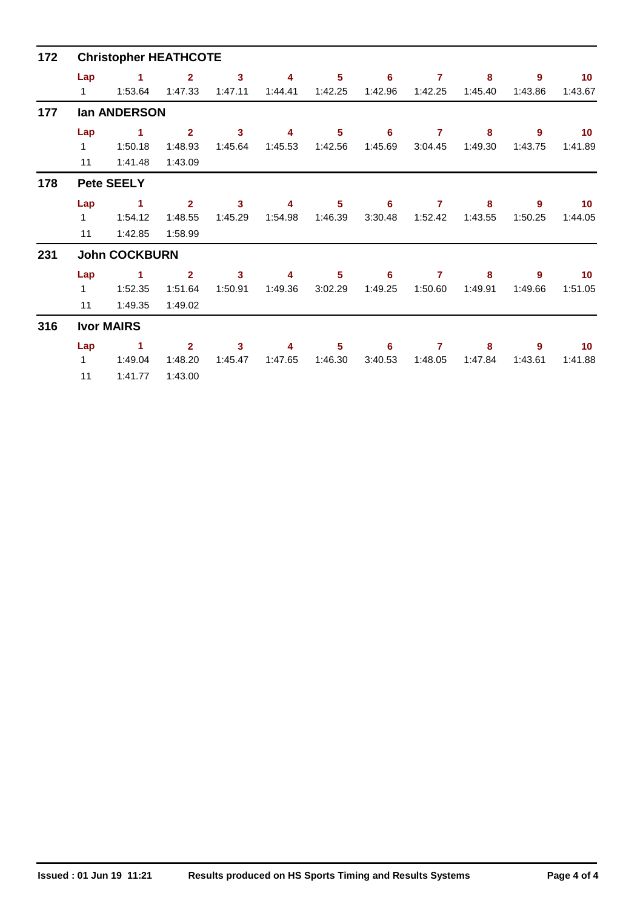| 172 | <b>Christopher HEATHCOTE</b> |                         |                                      |                                    |              |              |              |                           |              |              |                            |  |  |  |  |
|-----|------------------------------|-------------------------|--------------------------------------|------------------------------------|--------------|--------------|--------------|---------------------------|--------------|--------------|----------------------------|--|--|--|--|
|     | Lap<br>$\mathbf{1}$          | 1<br>1:53.64            | $\overline{2}$<br>1:47.33            | $\mathbf{3}$<br>1:47.11            | 4<br>1:44.41 | 5<br>1:42.25 | 6<br>1:42.96 | $\overline{7}$<br>1:42.25 | 8<br>1:45.40 | 9<br>1:43.86 | 10<br>1:43.67              |  |  |  |  |
| 177 |                              | lan ANDERSON            |                                      |                                    |              |              |              |                           |              |              |                            |  |  |  |  |
|     | Lap<br>$\mathbf{1}$<br>11    | 1<br>1:50.18<br>1:41.48 | $\overline{2}$<br>1:48.93<br>1:43.09 | 3<br>1:45.64                       | 4<br>1:45.53 | 5<br>1:42.56 | 6<br>1:45.69 | $\overline{7}$<br>3:04.45 | 8<br>1:49.30 | 9<br>1:43.75 | 10<br>1:41.89              |  |  |  |  |
| 178 |                              | <b>Pete SEELY</b>       |                                      |                                    |              |              |              |                           |              |              |                            |  |  |  |  |
|     | Lap<br>$\mathbf{1}$<br>11    | 1<br>1:54.12<br>1:42.85 | $\overline{2}$<br>1:48.55<br>1:58.99 | 3<br>1:45.29                       | 4<br>1:54.98 | 5<br>1:46.39 | 6<br>3:30.48 | 7<br>1:52.42              | 8<br>1:43.55 | 9<br>1:50.25 | 10 <sup>°</sup><br>1:44.05 |  |  |  |  |
| 231 |                              | <b>John COCKBURN</b>    |                                      |                                    |              |              |              |                           |              |              |                            |  |  |  |  |
|     | Lap<br>$\mathbf{1}$<br>11    | 1<br>1:52.35<br>1:49.35 | $\overline{2}$<br>1:51.64<br>1:49.02 | $\overline{\mathbf{3}}$<br>1:50.91 | 4<br>1:49.36 | 5<br>3:02.29 | 6<br>1:49.25 | 7<br>1:50.60              | 8<br>1:49.91 | 9<br>1:49.66 | 10 <sup>°</sup><br>1:51.05 |  |  |  |  |
| 316 |                              | <b>Ivor MAIRS</b>       |                                      |                                    |              |              |              |                           |              |              |                            |  |  |  |  |
|     | Lap<br>$\mathbf{1}$<br>11    | 1<br>1:49.04<br>1:41.77 | $\overline{2}$<br>1:48.20<br>1:43.00 | 3<br>1:45.47                       | 4<br>1:47.65 | 5<br>1:46.30 | 6<br>3:40.53 | 7<br>1:48.05              | 8<br>1:47.84 | 9<br>1:43.61 | 10 <sup>°</sup><br>1:41.88 |  |  |  |  |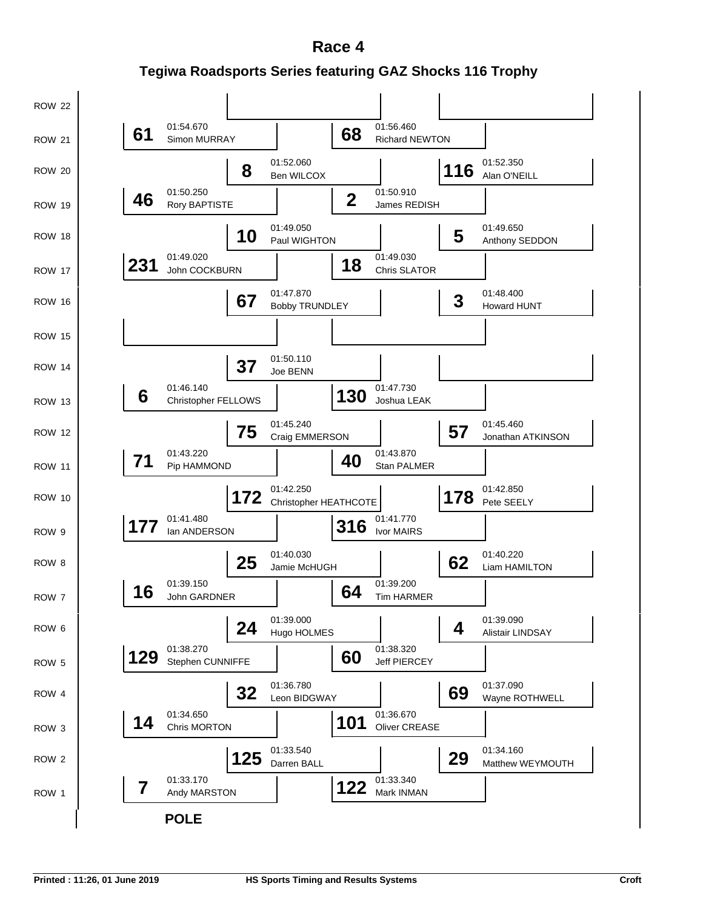**Tegiwa Roadsports Series featuring GAZ Shocks 116 Trophy Race 4**

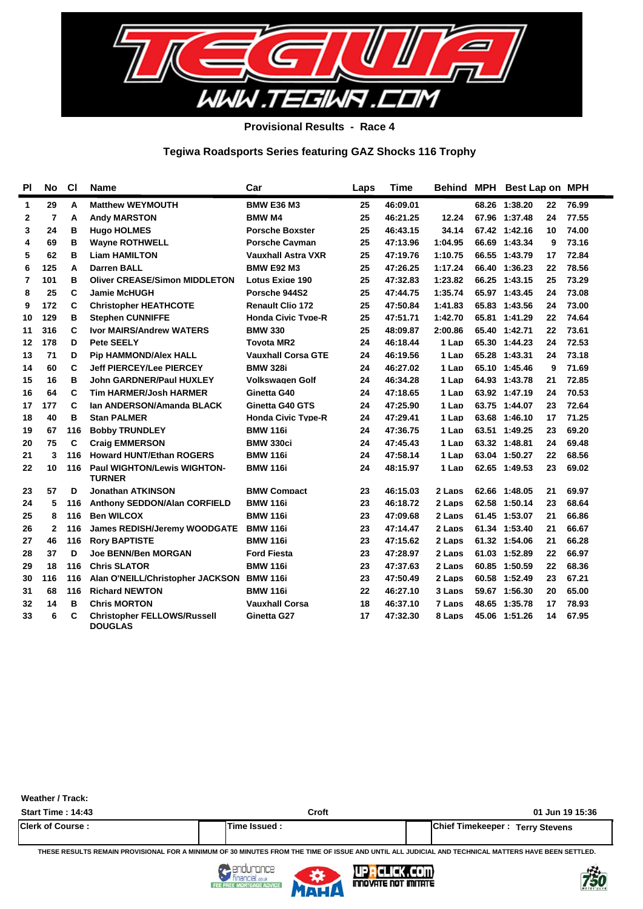

**Provisional Results - Race 4**

### **Tegiwa Roadsports Series featuring GAZ Shocks 116 Trophy**

| <b>PI</b> | No           | <b>CI</b> | <b>Name</b>                                          | Car                       | Laps | <b>Time</b> |         | Behind MPH Best Lap on MPH |    |       |
|-----------|--------------|-----------|------------------------------------------------------|---------------------------|------|-------------|---------|----------------------------|----|-------|
| 1         | 29           | A         | <b>Matthew WEYMOUTH</b>                              | <b>BMW E36 M3</b>         | 25   | 46:09.01    |         | 68.26 1:38.20              | 22 | 76.99 |
| 2         | 7            | A         | <b>Andy MARSTON</b>                                  | <b>BMW M4</b>             | 25   | 46:21.25    | 12.24   | 67.96 1:37.48              | 24 | 77.55 |
| 3         | 24           | в         | <b>Hugo HOLMES</b>                                   | <b>Porsche Boxster</b>    | 25   | 46:43.15    | 34.14   | 67.42 1:42.16              | 10 | 74.00 |
| 4         | 69           | в         | <b>Wayne ROTHWELL</b>                                | <b>Porsche Cavman</b>     | 25   | 47:13.96    | 1:04.95 | 66.69 1:43.34              | 9  | 73.16 |
| 5         | 62           | в         | <b>Liam HAMILTON</b>                                 | <b>Vauxhall Astra VXR</b> | 25   | 47:19.76    | 1:10.75 | 66.55 1:43.79              | 17 | 72.84 |
| 6         | 125          | A         | <b>Darren BALL</b>                                   | <b>BMW E92 M3</b>         | 25   | 47:26.25    | 1:17.24 | 66.40 1:36.23              | 22 | 78.56 |
| 7         | 101          | в         | <b>Oliver CREASE/Simon MIDDLETON</b>                 | Lotus Exige 190           | 25   | 47:32.83    | 1:23.82 | 66.25 1:43.15              | 25 | 73.29 |
| 8         | 25           | C         | <b>Jamie McHUGH</b>                                  | Porsche 944S2             | 25   | 47:44.75    | 1:35.74 | 65.97 1:43.45              | 24 | 73.08 |
| 9         | 172          | C         | <b>Christopher HEATHCOTE</b>                         | <b>Renault Clio 172</b>   | 25   | 47:50.84    | 1:41.83 | 65.83 1:43.56              | 24 | 73.00 |
| 10        | 129          | B         | <b>Stephen CUNNIFFE</b>                              | <b>Honda Civic Type-R</b> | 25   | 47:51.71    | 1:42.70 | 65.81 1:41.29              | 22 | 74.64 |
| 11        | 316          | C         | <b>Ivor MAIRS/Andrew WATERS</b>                      | <b>BMW 330</b>            | 25   | 48:09.87    | 2:00.86 | 65.40 1:42.71              | 22 | 73.61 |
| 12        | 178          | D         | <b>Pete SEELY</b>                                    | <b>Tovota MR2</b>         | 24   | 46:18.44    | 1 Lap   | 65.30 1:44.23              | 24 | 72.53 |
| 13        | 71           | D         | <b>Pip HAMMOND/Alex HALL</b>                         | <b>Vauxhall Corsa GTE</b> | 24   | 46:19.56    | 1 Lap   | 65.28 1:43.31              | 24 | 73.18 |
| 14        | 60           | C         | <b>Jeff PIERCEY/Lee PIERCEY</b>                      | <b>BMW 328i</b>           | 24   | 46:27.02    | 1 Lap   | 65.10 1:45.46              | 9  | 71.69 |
| 15        | 16           | B         | <b>John GARDNER/Paul HUXLEY</b>                      | <b>Volkswagen Golf</b>    | 24   | 46:34.28    | 1 Lap   | 64.93 1:43.78              | 21 | 72.85 |
| 16        | 64           | C         | <b>Tim HARMER/Josh HARMER</b>                        | Ginetta G40               | 24   | 47:18.65    | 1 Lap   | 63.92 1:47.19              | 24 | 70.53 |
| 17        | 177          | C         | lan ANDERSON/Amanda BLACK                            | Ginetta G40 GTS           | 24   | 47:25.90    | 1 Lap   | 63.75 1:44.07              | 23 | 72.64 |
| 18        | 40           | в         | <b>Stan PALMER</b>                                   | <b>Honda Civic Type-R</b> | 24   | 47:29.41    | 1 Lap   | 63.68 1:46.10              | 17 | 71.25 |
| 19        | 67           | 116       | <b>Bobby TRUNDLEY</b>                                | <b>BMW 116i</b>           | 24   | 47:36.75    | 1 Lap   | 63.51 1:49.25              | 23 | 69.20 |
| 20        | 75           | C         | <b>Craig EMMERSON</b>                                | <b>BMW 330ci</b>          | 24   | 47:45.43    | 1 Lap   | 63.32 1:48.81              | 24 | 69.48 |
| 21        | 3            | 116       | <b>Howard HUNT/Ethan ROGERS</b>                      | <b>BMW 116i</b>           | 24   | 47:58.14    | 1 Lap   | 63.04 1:50.27              | 22 | 68.56 |
| 22        | 10           | 116       | <b>Paul WIGHTON/Lewis WIGHTON-</b><br><b>TURNER</b>  | <b>BMW 116i</b>           | 24   | 48:15.97    | 1 Lap   | 62.65 1:49.53              | 23 | 69.02 |
| 23        | 57           | D         | <b>Jonathan ATKINSON</b>                             | <b>BMW Compact</b>        | 23   | 46:15.03    | 2 Lans  | 62.66 1:48.05              | 21 | 69.97 |
| 24        | 5            | 116       | Anthony SEDDON/Alan CORFIELD                         | <b>BMW 116i</b>           | 23   | 46:18.72    | 2 Laps  | 62.58 1:50.14              | 23 | 68.64 |
| 25        | 8            | 116       | <b>Ben WILCOX</b>                                    | <b>BMW 116i</b>           | 23   | 47:09.68    | 2 Laps  | 61.45 1:53.07              | 21 | 66.86 |
| 26        | $\mathbf{2}$ | 116       | James REDISH/Jeremy WOODGATE                         | <b>BMW 116i</b>           | 23   | 47:14.47    | 2 Laps  | 61.34 1:53.40              | 21 | 66.67 |
| 27        | 46           | 116       | <b>Rory BAPTISTE</b>                                 | <b>BMW 116i</b>           | 23   | 47:15.62    | 2 Laps  | 61.32 1:54.06              | 21 | 66.28 |
| 28        | 37           | D         | <b>Joe BENN/Ben MORGAN</b>                           | <b>Ford Fiesta</b>        | 23   | 47:28.97    | 2 Laps  | 61.03 1:52.89              | 22 | 66.97 |
| 29        | 18           | 116       | <b>Chris SLATOR</b>                                  | <b>BMW 116i</b>           | 23   | 47:37.63    | 2 Laps  | 60.85 1:50.59              | 22 | 68.36 |
| 30        | 116          | 116       | Alan O'NEILL/Christopher JACKSON                     | <b>BMW 116i</b>           | 23   | 47:50.49    | 2 Laps  | 60.58 1:52.49              | 23 | 67.21 |
| 31        | 68           | 116       | <b>Richard NEWTON</b>                                | <b>BMW 116i</b>           | 22   | 46:27.10    | 3 Laps  | 59.67 1:56.30              | 20 | 65.00 |
| 32        | 14           | B         | <b>Chris MORTON</b>                                  | <b>Vauxhall Corsa</b>     | 18   | 46:37.10    | 7 Laps  | 48.65 1:35.78              | 17 | 78.93 |
| 33        | 6            | C         | <b>Christopher FELLOWS/Russell</b><br><b>DOUGLAS</b> | Ginetta G27               | 17   | 47:32.30    | 8 Laps  | 45.06 1:51.26              | 14 | 67.95 |

**Weather / Track:** 

| <b>Start Time: 14:43</b> | Croft         | 01 Jun 19 15:36                          |
|--------------------------|---------------|------------------------------------------|
| <b>Clerk of Course:</b>  | Time Issued . | <b>IChief Timekeeper : Terry Stevens</b> |

**THESE RESULTS REMAIN PROVISIONAL FOR A MINIMUM OF 30 MINUTES FROM THE TIME OF ISSUE AND UNTIL ALL JUDICIAL AND TECHNICAL MATTERS HAVE BEEN SETTLED.**



FEE



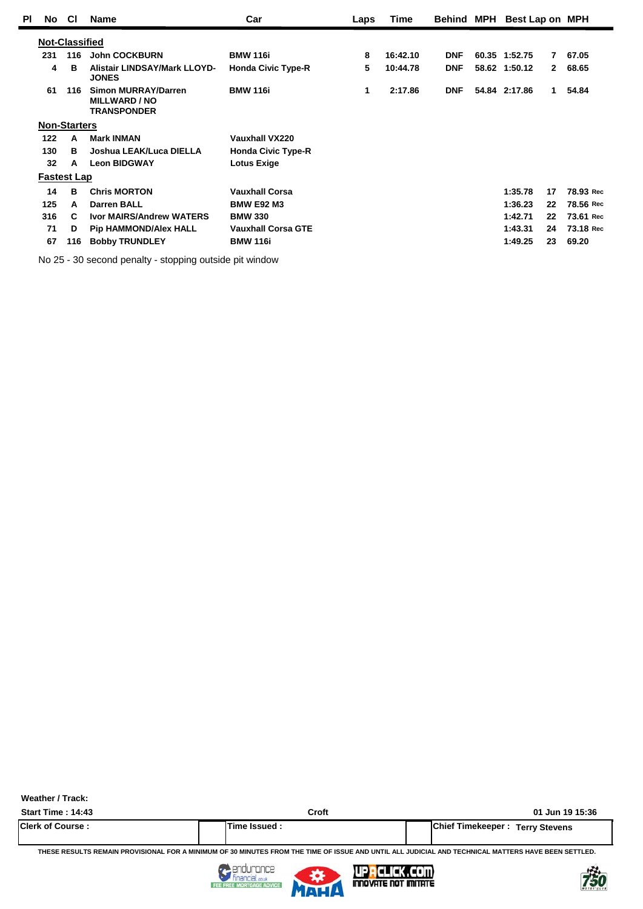| ΡI | <b>No</b>             | <b>CI</b> | <b>Name</b>                                                       | Car                       | Laps | Time     |            | Behind MPH Best Lap on MPH    |           |
|----|-----------------------|-----------|-------------------------------------------------------------------|---------------------------|------|----------|------------|-------------------------------|-----------|
|    | <b>Not-Classified</b> |           |                                                                   |                           |      |          |            |                               |           |
|    | 231                   | 116       | <b>John COCKBURN</b>                                              | <b>BMW 116i</b>           | 8    | 16:42.10 | <b>DNF</b> | 60.35 1:52.75<br>7.           | 67.05     |
|    | 4                     | B         | Alistair LINDSAY/Mark LLOYD-<br><b>JONES</b>                      | <b>Honda Civic Type-R</b> | 5    | 10:44.78 | <b>DNF</b> | 58.62 1:50.12<br>$\mathbf{2}$ | 68.65     |
|    | 61                    | 116       | Simon MURRAY/Darren<br><b>MILLWARD / NO</b><br><b>TRANSPONDER</b> | <b>BMW 116i</b>           | 1    | 2:17.86  | <b>DNF</b> | 54.84 2:17.86<br>$\mathbf 1$  | 54.84     |
|    | <b>Non-Starters</b>   |           |                                                                   |                           |      |          |            |                               |           |
|    | 122                   | A         | <b>Mark INMAN</b>                                                 | Vauxhall VX220            |      |          |            |                               |           |
|    | 130                   | в         | Joshua LEAK/Luca DIELLA                                           | <b>Honda Civic Type-R</b> |      |          |            |                               |           |
|    | 32                    | A         | <b>Leon BIDGWAY</b>                                               | <b>Lotus Exige</b>        |      |          |            |                               |           |
|    | <b>Fastest Lap</b>    |           |                                                                   |                           |      |          |            |                               |           |
|    | 14                    | B         | <b>Chris MORTON</b>                                               | <b>Vauxhall Corsa</b>     |      |          |            | 1:35.78<br>17                 | 78.93 Rec |
|    | 125                   | A         | <b>Darren BALL</b>                                                | <b>BMW E92 M3</b>         |      |          |            | 1:36.23<br>22                 | 78.56 Rec |
|    | 316                   | C         | <b>Ivor MAIRS/Andrew WATERS</b>                                   | <b>BMW 330</b>            |      |          |            | 1:42.71<br>22                 | 73.61 Rec |
|    | 71                    | D         | <b>Pip HAMMOND/Alex HALL</b>                                      | <b>Vauxhall Corsa GTE</b> |      |          |            | 1:43.31<br>24                 | 73.18 Rec |
|    | 67                    | 116       | <b>Bobby TRUNDLEY</b>                                             | <b>BMW 116i</b>           |      |          |            | 1:49.25<br>23                 | 69.20     |

No 25 - 30 second penalty - stopping outside pit window

**Weather / Track:** 

**Start Time : 14:43 Croft 01 Jun 19 15:36 Clerk of Course : Time Issued : Chief Timekeeper : Terry Stevens**

**THESE RESULTS REMAIN PROVISIONAL FOR A MINIMUM OF 30 MINUTES FROM THE TIME OF ISSUE AND UNTIL ALL JUDICIAL AND TECHNICAL MATTERS HAVE BEEN SETTLED.**



FEE FREE



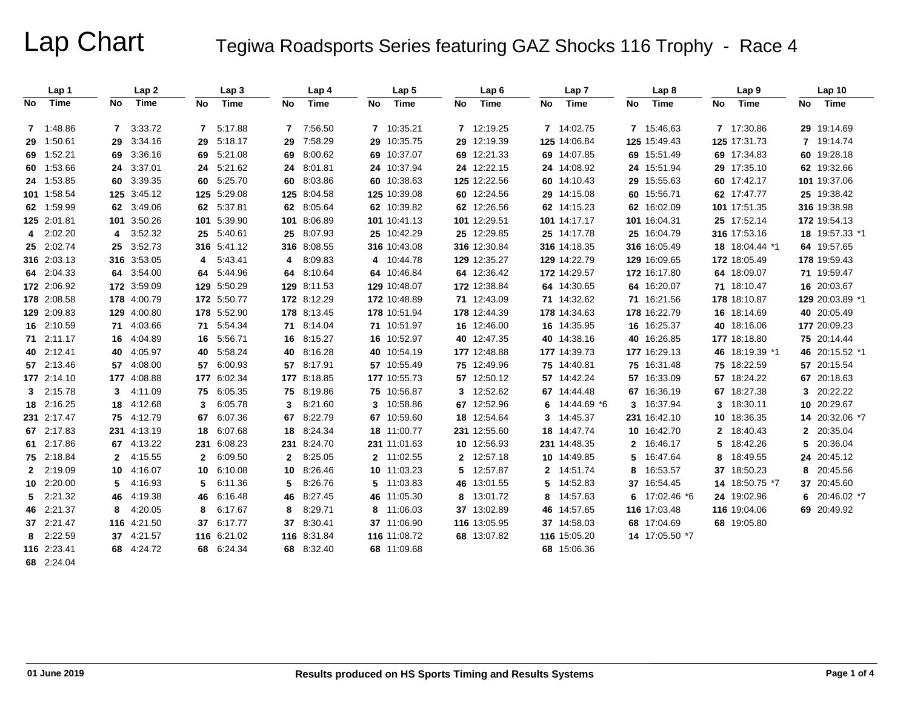# Lap Chart Tegiwa Roadsports Series featuring GAZ Shocks 116 Trophy - Race 4

|     | Lap 1       |              | Lap 2       |             | Lap 3       |     | Lap 4       |    | Lap <sub>5</sub> |    | Lap <sub>6</sub> |    | Lap 7         |    | Lap 8          |    | Lap 9          |    | Lap <sub>10</sub> |
|-----|-------------|--------------|-------------|-------------|-------------|-----|-------------|----|------------------|----|------------------|----|---------------|----|----------------|----|----------------|----|-------------------|
| No. | Time        | No           | Time        | No          | Time        | No  | Time        | No | Time             | No | Time             | No | Time          | No | Time           | No | Time           | No | Time              |
|     | 7 1:48.86   |              | 7 3:33.72   | $7^{\circ}$ | 5:17.88     | 7   | 7:56.50     |    | 7 10:35.21       |    | 7 12:19.25       |    | 7 14:02.75    |    | 7 15:46.63     |    | 7 17:30.86     |    | 29 19:14.69       |
|     | 29 1:50.61  | 29           | 3:34.16     | 29          | 5:18.17     | 29  | 7:58.29     |    | 29 10:35.75      |    | 29 12:19.39      |    | 125 14:06.84  |    | 125 15:49.43   |    | 125 17:31.73   |    | 7 19:14.74        |
|     | 69 1:52.21  |              | 69 3:36.16  |             | 69 5:21.08  | 69  | 8:00.62     |    | 69 10:37.07      |    | 69 12:21.33      |    | 69 14:07.85   |    | 69 15:51.49    |    | 69 17:34.83    |    | 60 19:28.18       |
|     | 60 1:53.66  |              | 24 3:37.01  |             | 24 5:21.62  | 24  | 8:01.81     |    | 24 10:37.94      |    | 24 12:22.15      |    | 24 14:08.92   |    | 24 15:51.94    |    | 29 17:35.10    |    | 62 19:32.66       |
|     | 24 1:53.85  |              | 60 3:39.35  |             | 60 5:25.70  | 60  | 8:03.86     |    | 60 10:38.63      |    | 125 12:22.56     |    | 60 14:10.43   |    | 29 15:55.63    |    | 60 17:42.17    |    | 101 19:37.06      |
|     | 101 1:58.54 |              | 125 3:45.12 |             | 125 5:29.08 | 125 | 8:04.58     |    | 125 10:39.08     |    | 60 12:24.56      |    | 29 14:15.08   |    | 60 15:56.71    |    | 62 17:47.77    |    | 25 19:38.42       |
|     | 62 1:59.99  |              | 62 3:49.06  |             | 62 5:37.81  | 62  | 8:05.64     |    | 62 10:39.82      |    | 62 12:26.56      |    | 62 14:15.23   |    | 62 16:02.09    |    | 101 17:51.35   |    | 316 19:38.98      |
|     | 125 2:01.81 |              | 101 3:50.26 |             | 101 5:39.90 | 101 | 8:06.89     |    | 101 10:41.13     |    | 101 12:29.51     |    | 101 14:17.17  |    | 101 16:04.31   |    | 25 17:52.14    |    | 172 19:54.13      |
|     | 4 2:02.20   | 4            | 3:52.32     | 25          | 5:40.61     | 25  | 8:07.93     |    | 25 10:42.29      |    | 25 12:29.85      |    | 25 14:17.78   |    | 25 16:04.79    |    | 316 17:53.16   |    | 18 19:57.33 *1    |
|     | 25 2:02.74  |              | 25 3:52.73  |             | 316 5:41.12 |     | 316 8:08.55 |    | 316 10:43.08     |    | 316 12:30.84     |    | 316 14:18.35  |    | 316 16:05.49   |    | 18 18:04.44 *1 |    | 64 19:57.65       |
|     | 316 2:03.13 |              | 316 3:53.05 | 4           | 5:43.41     | 4   | 8:09.83     |    | 4 10:44.78       |    | 129 12:35.27     |    | 129 14:22.79  |    | 129 16:09.65   |    | 172 18:05.49   |    | 178 19:59.43      |
|     | 64 2:04.33  |              | 64 3:54.00  | 64          | 5:44.96     | 64  | 8:10.64     |    | 64 10:46.84      |    | 64 12:36.42      |    | 172 14:29.57  |    | 172 16:17.80   |    | 64 18:09.07    |    | 71 19:59.47       |
|     | 172 2:06.92 |              | 172 3:59.09 |             | 129 5:50.29 |     | 129 8:11.53 |    | 129 10:48.07     |    | 172 12:38.84     |    | 64 14:30.65   |    | 64 16:20.07    |    | 71 18:10.47    |    | 16 20:03.67       |
|     | 178 2:08.58 |              | 178 4:00.79 |             | 172 5:50.77 |     | 172 8:12.29 |    | 172 10:48.89     |    | 71 12:43.09      |    | 71 14:32.62   |    | 71 16:21.56    |    | 178 18:10.87   |    | 129 20:03.89 *1   |
|     | 129 2:09.83 |              | 129 4:00.80 |             | 178 5:52.90 |     | 178 8:13.45 |    | 178 10:51.94     |    | 178 12:44.39     |    | 178 14:34.63  |    | 178 16:22.79   |    | 16 18:14.69    |    | 40 20:05.49       |
|     | 16 2:10.59  |              | 71 4:03.66  | 71          | 5:54.34     | 71  | 8:14.04     |    | 71 10:51.97      |    | 16 12:46.00      |    | 16 14:35.95   |    | 16 16:25.37    |    | 40 18:16.06    |    | 177 20:09.23      |
|     | 71 2:11.17  |              | 16 4:04.89  |             | 16 5:56.71  | 16  | 8:15.27     |    | 16 10:52.97      |    | 40 12:47.35      |    | 40 14:38.16   |    | 40 16:26.85    |    | 177 18:18.80   |    | 75 20:14.44       |
|     | 40 2:12.41  |              | 40 4:05.97  | 40          | 5:58.24     | 40  | 8:16.28     |    | 40 10:54.19      |    | 177 12:48.88     |    | 177 14:39.73  |    | 177 16:29.13   |    | 46 18:19.39 *1 |    | 46 20:15.52 *1    |
|     | 57 2:13.46  |              | 57 4:08.00  | 57          | 6:00.93     | 57  | 8:17.91     |    | 57 10:55.49      |    | 75 12:49.96      |    | 75 14:40.81   |    | 75 16:31.48    |    | 75 18:22.59    |    | 57 20:15.54       |
|     | 177 2:14.10 |              | 177 4:08.88 |             | 177 6:02.34 |     | 177 8:18.85 |    | 177 10:55.73     |    | 57 12:50.12      |    | 57 14:42.24   |    | 57 16:33.09    |    | 57 18:24.22    |    | 67 20:18.63       |
|     | 3 2:15.78   |              | 3 4:11.09   | 75          | 6:05.35     | 75  | 8:19.86     |    | 75 10:56.87      |    | 3 12:52.62       |    | 67 14:44.48   |    | 67 16:36.19    |    | 67 18:27.38    |    | 3 20:22.22        |
|     | 18 2:16.25  |              | 18 4:12.68  | 3           | 6:05.78     | 3   | 8:21.60     |    | 3 10:58.86       |    | 67 12:52.96      |    | 6 14:44.69 *6 | 3  | 16:37.94       | 3  | 18:30.11       |    | 10 20:29.67       |
|     | 231 2:17.47 |              | 75 4:12.79  | 67          | 6:07.36     | 67  | 8:22.79     |    | 67 10:59.60      |    | 18 12:54.64      |    | 3 14:45.37    |    | 231 16:42.10   |    | 10 18:36.35    |    | 14 20:32.06 *7    |
|     | 67 2:17.83  |              | 231 4:13.19 | 18          | 6:07.68     | 18  | 8:24.34     |    | 18 11:00.77      |    | 231 12:55.60     |    | 18 14:47.74   |    | 10 16:42.70    | 2  | 18:40.43       |    | 2 20:35.04        |
|     | 61 2:17.86  |              | 67 4:13.22  |             | 231 6:08.23 | 231 | 8:24.70     |    | 231 11:01.63     |    | 10 12:56.93      |    | 231 14:48.35  | 2  | 16:46.17       | 5  | 18:42.26       | 5. | 20:36.04          |
|     | 75 2:18.84  | $\mathbf{2}$ | 4:15.55     | 2           | 6:09.50     | 2   | 8:25.05     |    | 2 11:02.55       |    | 2 12:57.18       |    | 10 14:49.85   | 5  | 16:47.64       | 8  | 18:49.55       |    | 24 20:45.12       |
|     | 2 2:19.09   |              | 10 4:16.07  | 10          | 6:10.08     | 10  | 8:26.46     |    | 10 11:03.23      |    | 5 12:57.87       |    | 2 14:51.74    | 8  | 16:53.57       | 37 | 18:50.23       | 8  | 20:45.56          |
|     | 10 2:20.00  | 5.           | 4:16.93     | 5           | 6:11.36     | 5   | 8:26.76     |    | 5 11:03.83       |    | 46 13:01.55      |    | 5 14:52.83    |    | 37 16:54.45    |    | 14 18:50.75 *7 |    | 37 20:45.60       |
| 5.  | 2:21.32     | 46           | 4:19.38     | 46          | 6:16.48     | 46  | 8:27.45     |    | 46 11:05.30      |    | 8 13:01.72       |    | 8 14:57.63    | 6  | 17:02.46 *6    |    | 24 19:02.96    | 6  | 20:46.02 *7       |
|     | 46 2:21.37  | 8            | 4:20.05     | 8           | 6:17.67     | 8   | 8:29.71     |    | 8 11:06.03       |    | 37 13:02.89      |    | 46 14:57.65   |    | 116 17:03.48   |    | 116 19:04.06   |    | 69 20:49.92       |
|     | 37 2:21.47  |              | 116 4:21.50 | 37          | 6:17.77     | 37  | 8:30.41     |    | 37 11:06.90      |    | 116 13:05.95     |    | 37 14:58.03   |    | 68 17:04.69    |    | 68 19:05.80    |    |                   |
|     | 8 2:22.59   |              | 37 4:21.57  |             | 116 6:21.02 |     | 116 8:31.84 |    | 116 11:08.72     |    | 68 13:07.82      |    | 116 15:05.20  |    | 14 17:05.50 *7 |    |                |    |                   |
|     | 116 2:23.41 |              | 68 4:24.72  |             | 68 6:24.34  | 68  | 8:32.40     |    | 68 11:09.68      |    |                  |    | 68 15:06.36   |    |                |    |                |    |                   |
|     | 68 2:24.04  |              |             |             |             |     |             |    |                  |    |                  |    |               |    |                |    |                |    |                   |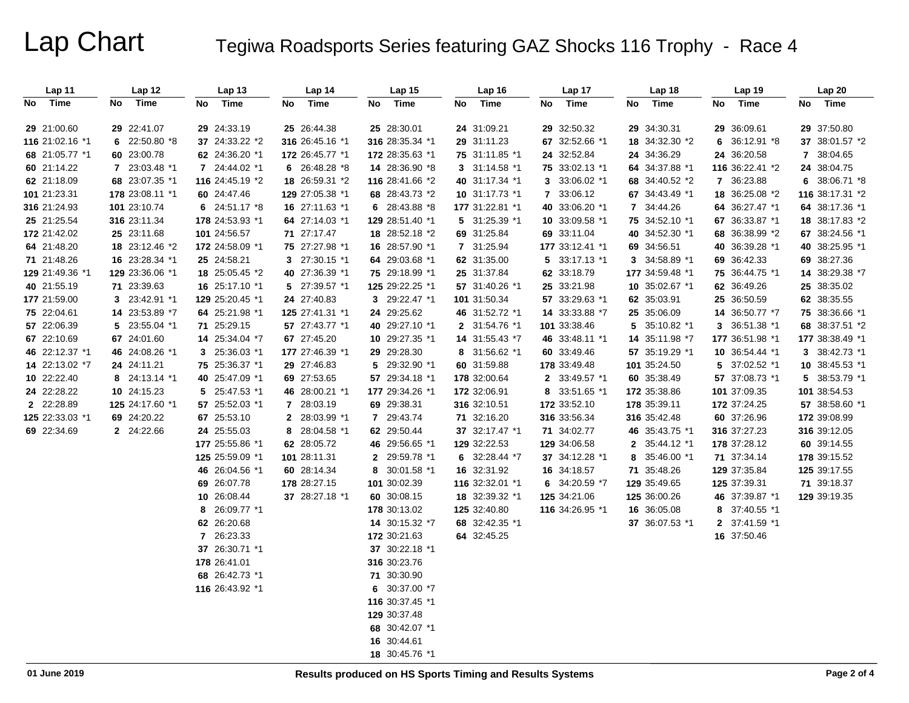# Lap Chart Tegiwa Roadsports Series featuring GAZ Shocks 116 Trophy - Race 4

| Lap 11          | Lap 12          | Lap <sub>13</sub>           | Lap 14<br>Lap 15 |                 | Lap 16          | Lap 17            | Lap 18          | Lap 19          | Lap20           |
|-----------------|-----------------|-----------------------------|------------------|-----------------|-----------------|-------------------|-----------------|-----------------|-----------------|
| No Time         | Time<br>No      | Time<br>No                  | Time<br>No       | Time<br>No      | No<br>Time      | No<br>Time        | Time<br>No      | Time<br>No      | Time<br>No      |
|                 |                 |                             |                  |                 |                 |                   |                 |                 |                 |
| 29 21:00.60     | 29 22:41.07     | 29 24:33.19                 | 25 26:44.38      | 25 28:30.01     | 24 31:09.21     | 29 32:50.32       | 29 34:30.31     | 29 36:09.61     | 29 37:50.80     |
| 116 21:02.16 *1 | 6 $22:50.80*8$  | 37 24:33.22 *2              | 316 26:45.16 *1  | 316 28:35.34 *1 | 29 31:11.23     | 67 32:52.66 *1    | 18 34:32.30 *2  | 6 $36:12.91*8$  | 37 38:01.57 *2  |
| 68 21:05.77 *1  | 60 23:00.78     | 62 24:36.20 *1              | 172 26:45.77 *1  | 172 28:35.63 *1 | 75 31:11.85 *1  | 24 32:52.84       | 24 34:36.29     | 24 36:20.58     | 7 38:04.65      |
| 60 21:14.22     | 7 23:03.48 *1   | 7 24:44.02 *1               | 6 $26:48.28*8$   | 14 28:36.90 *8  | 3 31:14.58 *1   | 75 33:02.13 *1    | 64 34:37.88 *1  | 116 36:22.41 *2 | 24 38:04.75     |
| 62 21:18.09     | 68 23:07.35 *1  | 116 24:45.19 *2             | 18 26:59.31 *2   | 116 28:41.66 *2 | 40 31:17.34 *1  | 3 33:06.02 *1     | 68 34:40.52 *2  | 7 36:23.88      | 6 $38:06.71*8$  |
| 101 21:23.31    | 178 23:08.11 *1 | 60 24:47.46                 | 129 27:05.38 *1  | 68 28:43.73 *2  | 10 31:17.73 *1  | 7 33:06.12        | 67 34:43.49 *1  | 18 36:25.08 *2  | 116 38:17.31 *2 |
| 316 21:24.93    | 101 23:10.74    | 6 $24:51.17*8$              | 16 27:11.63 *1   | 6 $28:43.88*8$  | 177 31:22.81 *1 | 40 33:06.20 *1    | 7 34:44.26      | 64 36:27.47 *1  | 64 38:17.36 *1  |
| 25 21:25.54     | 316 23:11.34    | 178 24:53.93 *1             | 64 27:14.03 *1   | 129 28:51.40 *1 | 5 31:25.39 *1   | 10 33:09.58 *1    | 75 34:52.10 *1  | 67 36:33.87 *1  | 18 38:17.83 *2  |
| 172 21:42.02    | 25 23:11.68     | 101 24:56.57                | 71 27:17.47      | 18 28:52.18 *2  | 69 31:25.84     | 69 33:11.04       | 40 34:52.30 *1  | 68 36:38.99 *2  | 67 38:24.56 *1  |
| 64 21:48.20     | 18 23:12.46 *2  | 172 24:58.09 *1             | 75 27:27.98 *1   | 16 28:57.90 *1  | 7 31:25.94      | 177 33:12.41 *1   | 69 34:56.51     | 40 36:39.28 *1  | 40 38:25.95 *1  |
| 71 21:48.26     | 16 23:28.34 *1  | 25 24:58.21                 | 3 27:30.15 *1    | 64 29:03.68 *1  | 62 31:35.00     | $5$ 33:17.13 $*1$ | 3 34:58.89 *1   | 69 36:42.33     | 69 38:27.36     |
| 129 21:49.36 *1 | 129 23:36.06 *1 | 18 25:05.45 *2              | 40 27:36.39 *1   | 75 29:18.99 *1  | 25 31:37.84     | 62 33:18.79       | 177 34:59.48 *1 | 75 36:44.75 *1  | 14 38:29.38 *7  |
| 40 21:55.19     | 71 23:39.63     | 16 25:17.10 *1              | 5 27:39.57 *1    | 125 29:22.25 *1 | 57 31:40.26 *1  | 25 33:21.98       | 10 35:02.67 *1  | 62 36:49.26     | 25 38:35.02     |
| 177 21:59.00    | 3 23:42.91 *1   | 129 25:20.45 *1             | 24 27:40.83      | 3 29:22.47 *1   | 101 31:50.34    | 57 33:29.63 *1    | 62 35:03.91     | 25 36:50.59     | 62 38:35.55     |
| 75 22:04.61     | 14 23:53.89 *7  | 64 25:21.98 *1              | 125 27:41.31 *1  | 24 29:25.62     | 46 31:52.72 *1  | 14 33:33.88 *7    | 25 35:06.09     | 14 36:50.77 *7  | 75 38:36.66 *1  |
| 57 22:06.39     | 5 23:55.04 *1   | 71 25:29.15                 | 57 27:43.77 *1   | 40 29:27.10 *1  | 2 31:54.76 *1   | 101 33:38.46      | 5 35:10.82 *1   | 3 36:51.38 *1   | 68 38:37.51 *2  |
| 67 22:10.69     | 67 24:01.60     | 14 25:34.04 *7              | 67 27:45.20      | 10 29:27.35 *1  | 14 31:55.43 *7  | 46 33:48.11 *1    | 14 35:11.98 *7  | 177 36:51.98 *1 | 177 38:38.49 *1 |
| 46 22:12.37 *1  | 46 24:08.26 *1  | 25:36.03 *1<br>$\mathbf{3}$ | 177 27:46.39 *1  | 29 29:28.30     | 8 31:56.62 *1   | 60 33:49.46       | 57 35:19.29 *1  | 10 36:54.44 *1  | 3 38:42.73 *1   |
| 14 22:13.02 *7  | 24 24:11.21     | 75 25:36.37 *1              | 29 27:46.83      | 5 29:32.90 *1   | 60 31:59.88     | 178 33:49.48      | 101 35:24.50    | 5 37:02.52 *1   | 10 38:45.53 *1  |
| 10 22:22.40     | 8 24:13.14 *1   | 40 25:47.09 *1              | 69 27:53.65      | 57 29:34.18 *1  | 178 32:00.64    | 2 33:49.57 *1     | 60 35:38.49     | 57 37:08.73 *1  | 5 38:53.79 *1   |
| 24 22:28.22     | 10 24:15.23     | 5 25:47.53 *1               | 46 28:00.21 *1   | 177 29:34.26 *1 | 172 32:06.91    | 8 33:51.65 *1     | 172 35:38.86    | 101 37:09.35    | 101 38:54.53    |
| 2 22:28.89      | 125 24:17.60 *1 | 57 25:52.03 *1              | 7 28:03.19       | 69 29:38.31     | 316 32:10.51    | 172 33:52.10      | 178 35:39.11    | 172 37:24.25    | 57 38:58.60 *1  |
| 125 22:33.03 *1 | 69 24:20.22     | 67 25:53.10                 | 2 28:03.99 *1    | 7 29:43.74      | 71 32:16.20     | 316 33:56.34      | 316 35:42.48    | 60 37:26.96     | 172 39:08.99    |
| 69 22:34.69     | 2 24:22.66      | 24 25:55.03                 | 28:04.58 *1<br>8 | 62 29:50.44     | 37 32:17.47 *1  | 71 34:02.77       | 46 35:43.75 *1  | 316 37:27.23    | 316 39:12.05    |
|                 |                 | 177 25:55.86 *1             | 62 28:05.72      | 46 29:56.65 *1  | 129 32:22.53    | 129 34:06.58      | 2 35:44.12 *1   | 178 37:28.12    | 60 39:14.55     |
|                 |                 | 125 25:59.09 *1             | 101 28:11.31     | 2 29:59.78 *1   | 6 $32:28.44*7$  | 37 34:12.28 *1    | 8 35:46.00 *1   | 71 37:34.14     | 178 39:15.52    |
|                 |                 | 46 26:04.56 *1              | 60 28:14.34      | 8 30:01.58 *1   | 16 32:31.92     | 16 34:18.57       | 71 35:48.26     | 129 37:35.84    | 125 39:17.55    |
|                 |                 | 69 26:07.78                 | 178 28:27.15     | 101 30:02.39    | 116 32:32.01 *1 | 6 34:20.59 *7     | 129 35:49.65    | 125 37:39.31    | 71 39:18.37     |
|                 |                 | 10 26:08.44                 | 37 28:27.18 *1   | 60 30:08.15     | 18 32:39.32 *1  | 125 34:21.06      | 125 36:00.26    | 46 37:39.87 *1  | 129 39:19.35    |
|                 |                 | 26:09.77 *1<br>8            |                  | 178 30:13.02    | 125 32:40.80    | 116 34:26.95 *1   | 16 36:05.08     | 8 37:40.55 *1   |                 |
|                 |                 | 62 26:20.68                 |                  | 14 30:15.32 *7  | 68 32:42.35 *1  |                   | 37 36:07.53 *1  | 2 37:41.59 *1   |                 |
|                 |                 | 7 26:23.33                  |                  | 172 30:21.63    | 64 32:45.25     |                   |                 | 16 37:50.46     |                 |
|                 |                 | 37 26:30.71 *1              |                  | 37 30:22.18 *1  |                 |                   |                 |                 |                 |
|                 |                 | 178 26:41.01                |                  | 316 30:23.76    |                 |                   |                 |                 |                 |
|                 |                 | 68 26:42.73 *1              |                  | 71 30:30.90     |                 |                   |                 |                 |                 |
|                 |                 | 116 26:43.92 *1             |                  | 6 30:37.00 *7   |                 |                   |                 |                 |                 |
|                 |                 |                             |                  | 116 30:37.45 *1 |                 |                   |                 |                 |                 |
|                 |                 |                             |                  | 129 30:37.48    |                 |                   |                 |                 |                 |
|                 |                 |                             |                  | 68 30:42.07 *1  |                 |                   |                 |                 |                 |
|                 |                 |                             |                  | 16 30:44.61     |                 |                   |                 |                 |                 |
|                 |                 |                             |                  | 18 30:45.76 *1  |                 |                   |                 |                 |                 |
|                 |                 |                             |                  |                 |                 |                   |                 |                 |                 |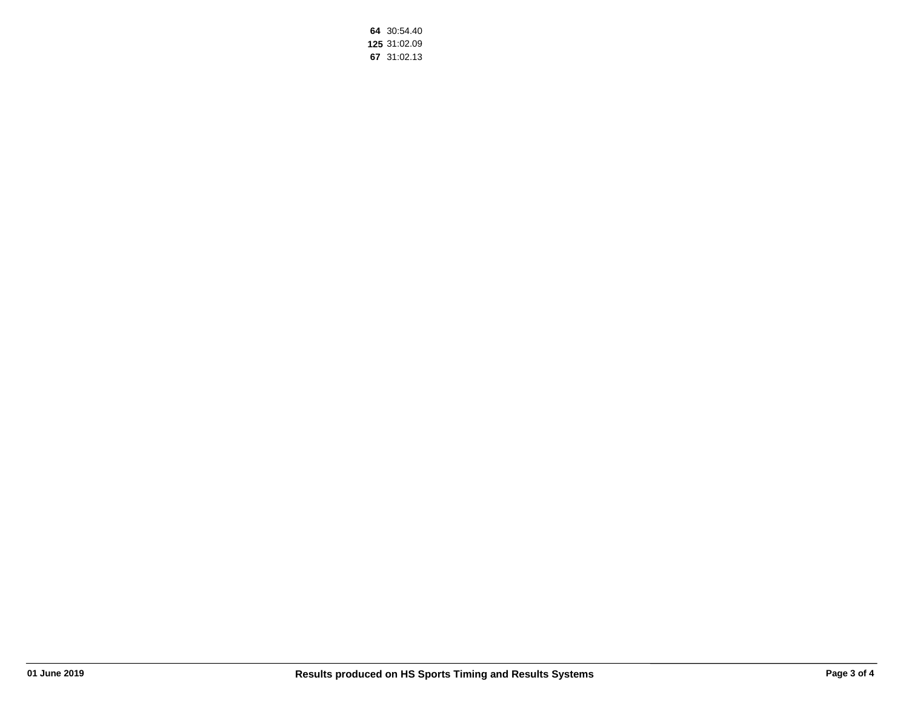**64** 30:54.40 **125** 31:02.09 **67** 31:02.13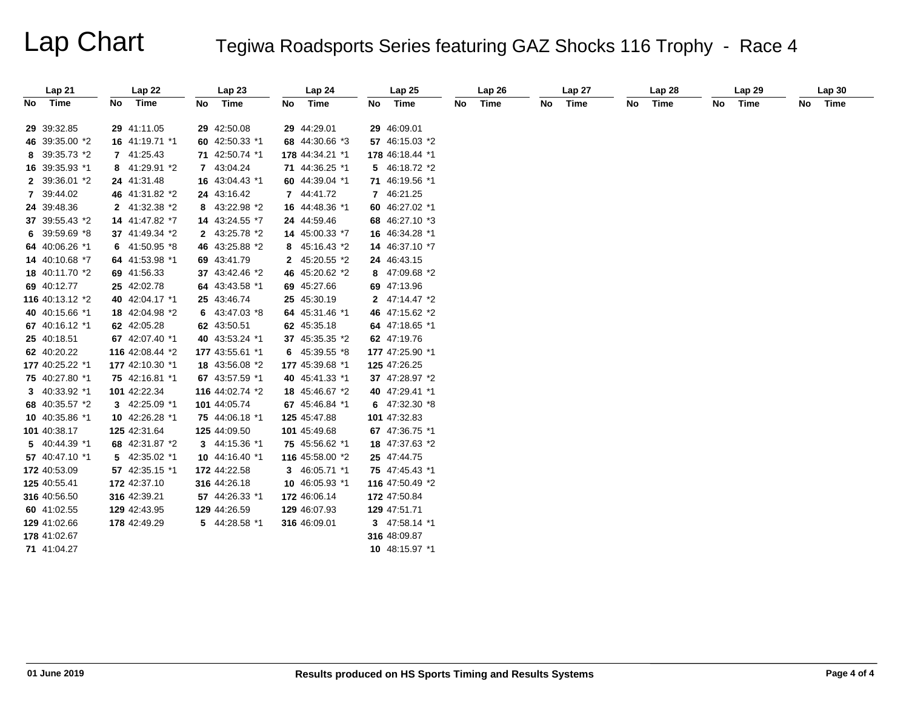# Lap Chart Tegiwa Roadsports Series featuring GAZ Shocks 116 Trophy - Race 4

|    | Lap 21          |    | Lap22                         |    | Lap23                         |    | Lap 24          |    | Lap 25                        |    | Lap26 |    | Lap27 |    | Lap 28 |    | Lap 29 |    | Lap30 |
|----|-----------------|----|-------------------------------|----|-------------------------------|----|-----------------|----|-------------------------------|----|-------|----|-------|----|--------|----|--------|----|-------|
| No | Time            | No | Time                          | No | Time                          | No | Time            | No | Time                          | No | Time  | No | Time  | No | Time   | No | Time   | No | Time  |
|    |                 |    |                               |    |                               |    |                 |    |                               |    |       |    |       |    |        |    |        |    |       |
|    | 29 39:32.85     |    | 29 41:11.05<br>16 41:19.71 *1 |    | 29 42:50.08<br>60 42:50.33 *1 |    | 29 44:29.01     |    | 29 46:09.01<br>57 46:15.03 *2 |    |       |    |       |    |        |    |        |    |       |
|    | 46 39:35.00 *2  |    |                               |    |                               |    | 68 44:30.66 *3  |    |                               |    |       |    |       |    |        |    |        |    |       |
|    | 8 39:35.73 *2   |    | 7 41:25.43                    |    | 71 42:50.74 *1                |    | 178 44:34.21 *1 |    | 178 46:18.44 *1               |    |       |    |       |    |        |    |        |    |       |
|    | 16 39:35.93 *1  |    | 8 41:29.91 *2                 |    | 7 43:04.24                    |    | 71 44:36.25 *1  |    | 5 46:18.72 *2                 |    |       |    |       |    |        |    |        |    |       |
|    | 2 39:36.01 *2   |    | 24 41:31.48                   |    | 16 43:04.43 *1                |    | 60 44:39.04 *1  |    | 71 46:19.56 *1                |    |       |    |       |    |        |    |        |    |       |
|    | 7 39:44.02      |    | 46 41:31.82 *2                |    | 24 43:16.42                   |    | 7 44:41.72      |    | 7 46:21.25                    |    |       |    |       |    |        |    |        |    |       |
|    | 24 39:48.36     |    | 2 41:32.38 *2                 |    | 8 43:22.98 *2                 |    | 16 44:48.36 *1  |    | 60 46:27.02 *1                |    |       |    |       |    |        |    |        |    |       |
|    | 37 39:55.43 *2  |    | 14 41:47.82 *7                |    | 14 43:24.55 *7                |    | 24 44:59.46     |    | 68 46:27.10 *3                |    |       |    |       |    |        |    |        |    |       |
|    | 6 39:59.69 *8   |    | 37 41:49.34 *2                |    | 2 43:25.78 *2                 |    | 14 45:00.33 *7  |    | 16 46:34.28 *1                |    |       |    |       |    |        |    |        |    |       |
|    | 64 40:06.26 *1  |    | 6 41:50.95 *8                 |    | 46 43:25.88 *2                |    | 8 45:16.43 *2   |    | 14 46:37.10 *7                |    |       |    |       |    |        |    |        |    |       |
|    | 14 40:10.68 *7  |    | 64 41:53.98 *1                |    | 69 43:41.79                   |    | 2 45:20.55 *2   |    | 24 46:43.15                   |    |       |    |       |    |        |    |        |    |       |
|    | 18 40:11.70 *2  |    | 69 41:56.33                   |    | 37 43:42.46 *2                |    | 46 45:20.62 *2  |    | 8 47:09.68 *2                 |    |       |    |       |    |        |    |        |    |       |
|    | 69 40:12.77     |    | 25 42:02.78                   |    | 64 43:43.58 *1                |    | 69 45:27.66     |    | 69 47:13.96                   |    |       |    |       |    |        |    |        |    |       |
|    | 116 40:13.12 *2 |    | 40 42:04.17 *1                |    | 25 43:46.74                   |    | 25 45:30.19     |    | 2 47:14.47 *2                 |    |       |    |       |    |        |    |        |    |       |
|    | 40 40:15.66 *1  |    | 18 42:04.98 *2                |    | 6 $43:47.03*8$                |    | 64 45:31.46 *1  |    | 46 47:15.62 *2                |    |       |    |       |    |        |    |        |    |       |
|    | 67 40:16.12 *1  |    | 62 42:05.28                   |    | 62 43:50.51                   |    | 62 45:35.18     |    | 64 47:18.65 *1                |    |       |    |       |    |        |    |        |    |       |
|    | 25 40:18.51     |    | 67 42:07.40 *1                |    | 40 43:53.24 *1                |    | 37 45:35.35 *2  |    | 62 47:19.76                   |    |       |    |       |    |        |    |        |    |       |
|    | 62 40:20.22     |    | 116 42:08.44 *2               |    | 177 43:55.61 *1               |    | 6 $45:39.55*8$  |    | 177 47:25.90 *1               |    |       |    |       |    |        |    |        |    |       |
|    | 177 40:25.22 *1 |    | 177 42:10.30 *1               |    | 18 43:56.08 *2                |    | 177 45:39.68 *1 |    | 125 47:26.25                  |    |       |    |       |    |        |    |        |    |       |
|    | 75 40:27.80 *1  |    | 75 42:16.81 *1                |    | 67 43:57.59 *1                |    | 40 45:41.33 *1  |    | 37 47:28.97 *2                |    |       |    |       |    |        |    |        |    |       |
|    | 3 40:33.92 *1   |    | 101 42:22.34                  |    | 116 44:02.74 *2               |    | 18 45:46.67 *2  |    | 40 47:29.41 *1                |    |       |    |       |    |        |    |        |    |       |
|    | 68 40:35.57 *2  |    | 3 42:25.09 *1                 |    | 101 44:05.74                  |    | 67 45:46.84 *1  |    | 6 $47:32.30*8$                |    |       |    |       |    |        |    |        |    |       |
|    | 10 40:35.86 *1  |    | 10 42:26.28 *1                |    | 75 44:06.18 *1                |    | 125 45:47.88    |    | 101 47:32.83                  |    |       |    |       |    |        |    |        |    |       |
|    | 101 40:38.17    |    | 125 42:31.64                  |    | 125 44:09.50                  |    | 101 45:49.68    |    | 67 47:36.75 *1                |    |       |    |       |    |        |    |        |    |       |
|    | 5 40:44.39 *1   |    | 68 42:31.87 *2                |    | 3 44:15.36 *1                 |    | 75 45:56.62 *1  |    | 18 47:37.63 *2                |    |       |    |       |    |        |    |        |    |       |
|    | 57 40:47.10 *1  |    | 5 42:35.02 *1                 |    | 10 44:16.40 *1                |    | 116 45:58.00 *2 |    | 25 47:44.75                   |    |       |    |       |    |        |    |        |    |       |
|    | 172 40:53.09    |    | 57 42:35.15 *1                |    | 172 44:22.58                  |    | 3 46:05.71 *1   |    | 75 47:45.43 *1                |    |       |    |       |    |        |    |        |    |       |
|    | 125 40:55.41    |    | 172 42:37.10                  |    | 316 44:26.18                  |    | 10 46:05.93 *1  |    | 116 47:50.49 *2               |    |       |    |       |    |        |    |        |    |       |
|    | 316 40:56.50    |    | 316 42:39.21                  |    | 57 44:26.33 *1                |    | 172 46:06.14    |    | 172 47:50.84                  |    |       |    |       |    |        |    |        |    |       |
|    | 60 41:02.55     |    | 129 42:43.95                  |    | 129 44:26.59                  |    | 129 46:07.93    |    | 129 47:51.71                  |    |       |    |       |    |        |    |        |    |       |
|    | 129 41:02.66    |    | 178 42:49.29                  |    | 5 44:28.58 *1                 |    | 316 46:09.01    |    | 3 47:58.14 *1                 |    |       |    |       |    |        |    |        |    |       |
|    | 178 41:02.67    |    |                               |    |                               |    |                 |    | 316 48:09.87                  |    |       |    |       |    |        |    |        |    |       |
|    | 71 41:04.27     |    |                               |    |                               |    |                 |    | 10 48:15.97 *1                |    |       |    |       |    |        |    |        |    |       |
|    |                 |    |                               |    |                               |    |                 |    |                               |    |       |    |       |    |        |    |        |    |       |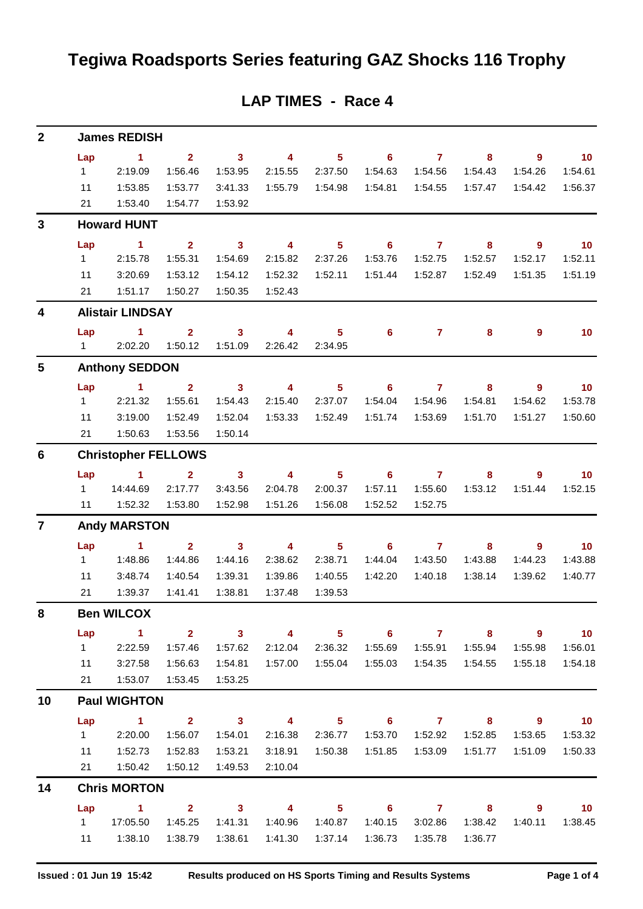## **Tegiwa Roadsports Series featuring GAZ Shocks 116 Trophy**

| $\mathbf{2}$            | <b>James REDISH</b>        |                               |                                    |                                    |                           |                            |                            |                           |                            |                            |                              |  |  |
|-------------------------|----------------------------|-------------------------------|------------------------------------|------------------------------------|---------------------------|----------------------------|----------------------------|---------------------------|----------------------------|----------------------------|------------------------------|--|--|
|                         | Lap                        | $\sim$ 1                      | $\overline{2}$                     | $\overline{\phantom{a}}$ 3         | $\overline{4}$            | 5 <sub>1</sub>             | $\overline{\phantom{a}}$ 6 | $\overline{7}$            | 8                          | $9^{\circ}$                | $\overline{\phantom{0}}$ 10  |  |  |
|                         | 1                          | 2:19.09                       | 1:56.46                            | 1:53.95                            | 2:15.55                   | 2:37.50                    | 1:54.63                    | 1:54.56                   | 1:54.43                    | 1:54.26                    | 1:54.61                      |  |  |
|                         | 11                         | 1:53.85                       | 1:53.77                            | 3:41.33                            | 1:55.79                   | 1:54.98                    | 1:54.81                    | 1:54.55                   | 1:57.47                    | 1:54.42                    | 1:56.37                      |  |  |
|                         | 21                         | 1:53.40                       | 1:54.77                            | 1:53.92                            |                           |                            |                            |                           |                            |                            |                              |  |  |
| 3                       | <b>Howard HUNT</b>         |                               |                                    |                                    |                           |                            |                            |                           |                            |                            |                              |  |  |
|                         | Lap                        | $\sim$ 1                      | $\mathbf{2}$                       | $\overline{\mathbf{3}}$            | $\overline{\mathbf{4}}$   | 5 <sup>5</sup>             | $\overline{\phantom{0}}$ 6 | $\overline{7}$            | 8                          | 9                          | $\overline{10}$              |  |  |
|                         | $1 \quad$                  | 2:15.78                       | 1:55.31                            | 1:54.69                            | 2:15.82                   | 2:37.26                    | 1:53.76                    | 1:52.75                   | 1:52.57                    | 1:52.17                    | 1:52.11                      |  |  |
|                         | 11                         | 3:20.69                       | 1:53.12                            | 1:54.12                            | 1:52.32                   | 1:52.11                    | 1:51.44                    | 1:52.87                   | 1:52.49                    | 1:51.35                    | 1:51.19                      |  |  |
|                         | 21                         | 1:51.17                       | 1:50.27                            | 1:50.35                            | 1:52.43                   |                            |                            |                           |                            |                            |                              |  |  |
| $\overline{\mathbf{4}}$ |                            | <b>Alistair LINDSAY</b>       |                                    |                                    |                           |                            |                            |                           |                            |                            |                              |  |  |
|                         | Lap                        | $\sim$ 1                      | $\overline{2}$                     | $\overline{\mathbf{3}}$            | $\overline{\mathbf{4}}$   | 5 <sub>5</sub>             | $6^{\circ}$                | $\mathbf{7}$              | 8                          | 9                          | 10                           |  |  |
|                         |                            | 1 2:02.20                     | 1:50.12                            | 1:51.09                            | 2:26.42                   | 2:34.95                    |                            |                           |                            |                            |                              |  |  |
| $5\phantom{1}$          |                            | <b>Anthony SEDDON</b>         |                                    |                                    |                           |                            |                            |                           |                            |                            |                              |  |  |
|                         | Lap<br>$1 \quad$           | $\sim$ 1<br>2:21.32           | $\overline{\mathbf{2}}$<br>1:55.61 | $\overline{\mathbf{3}}$<br>1:54.43 | $\overline{4}$<br>2:15.40 | 5 <sup>5</sup><br>2:37.07  | $\overline{\phantom{0}}$ 6 | $\overline{7}$<br>1:54.96 | 8                          | 9                          | $\blacksquare$ 10<br>1:53.78 |  |  |
|                         | 11                         | 3:19.00                       | 1:52.49                            | 1:52.04                            | 1:53.33                   | 1:52.49                    | 1:54.04<br>1:51.74         | 1:53.69                   | 1:54.81<br>1:51.70         | 1:54.62<br>1:51.27         | 1:50.60                      |  |  |
|                         | 21                         | 1:50.63                       | 1:53.56                            | 1:50.14                            |                           |                            |                            |                           |                            |                            |                              |  |  |
| $6\phantom{1}$          | <b>Christopher FELLOWS</b> |                               |                                    |                                    |                           |                            |                            |                           |                            |                            |                              |  |  |
|                         |                            | Lap 1                         | $\overline{2}$                     | $\overline{\phantom{a}}$ 3         | $\overline{\mathbf{4}}$   | 5 <sub>5</sub>             | 6 <sup>1</sup>             | $\overline{7}$            | 8                          | $\overline{9}$             | 10                           |  |  |
|                         | $1 \quad \Box$             | 14:44.69                      | 2:17.77                            | 3:43.56                            | 2:04.78                   | 2:00.37                    | 1:57.11                    | 1:55.60                   | 1:53.12                    | 1:51.44                    | 1:52.15                      |  |  |
|                         | 11                         | 1:52.32                       | 1:53.80                            | 1:52.98                            | 1:51.26                   | 1:56.08                    | 1:52.52                    | 1:52.75                   |                            |                            |                              |  |  |
| $\overline{7}$          | <b>Andy MARSTON</b>        |                               |                                    |                                    |                           |                            |                            |                           |                            |                            |                              |  |  |
|                         | Lap                        | $\sim$ 1                      | $\overline{2}$                     | $\mathbf{3}$                       | $\overline{\mathbf{4}}$   | 5 <sub>5</sub>             | 6                          | $\overline{7}$            | 8                          | 9                          | 10                           |  |  |
|                         | 1                          | 1:48.86                       | 1:44.86                            | 1:44.16                            | 2:38.62                   | 2:38.71                    | 1:44.04                    | 1:43.50                   | 1:43.88                    | 1:44.23                    | 1:43.88                      |  |  |
|                         | 11                         | 3:48.74                       | 1:40.54                            | 1:39.31                            | 1:39.86                   | 1:40.55                    | 1:42.20                    | 1:40.18                   | 1:38.14                    | 1:39.62                    | 1:40.77                      |  |  |
|                         | 21                         | 1:39.37                       | 1:41.41                            | 1:38.81                            | 1:37.48                   | 1:39.53                    |                            |                           |                            |                            |                              |  |  |
| 8                       | <b>Ben WILCOX</b>          |                               |                                    |                                    |                           |                            |                            |                           |                            |                            |                              |  |  |
|                         | Lap                        | $\sim$ 1                      | $\overline{\mathbf{2}}$            | $\sim$ 3                           | $\overline{4}$            | 5 <sub>5</sub>             | $\overline{\phantom{0}}$ 6 | $\overline{7}$            | $\overline{\phantom{a}}$ 8 | $\overline{9}$             | $\overline{10}$              |  |  |
|                         | $1 \quad$                  | 2:22.59                       | 1:57.46                            | 1:57.62                            | 2:12.04                   | 2:36.32                    | 1:55.69                    | 1:55.91                   | 1:55.94                    | 1:55.98                    | 1:56.01                      |  |  |
|                         | 11                         | 3:27.58                       | 1:56.63                            | 1:54.81                            |                           | 1:57.00  1:55.04           | 1:55.03                    | 1:54.35                   | 1:54.55                    | 1:55.18                    | 1:54.18                      |  |  |
|                         | 21                         | 1:53.07                       | 1:53.45                            | 1:53.25                            |                           |                            |                            |                           |                            |                            |                              |  |  |
| 10                      | <b>Paul WIGHTON</b>        |                               |                                    |                                    |                           |                            |                            |                           |                            |                            |                              |  |  |
|                         | Lap                        | $\overline{1}$ $\overline{2}$ |                                    |                                    | $3 \t 4$                  | $\overline{\phantom{0}}$ 5 |                            |                           | 6 7 8                      | $\overline{\phantom{a}}$ 9 | $\overline{\phantom{0}}$ 10  |  |  |
|                         | $1 \quad$                  | 2:20.00                       | 1:56.07                            | 1:54.01                            | 2:16.38                   | 2:36.77                    | 1:53.70                    | 1:52.92                   | 1:52.85                    | 1:53.65                    | 1:53.32                      |  |  |
|                         | 11<br>21                   | 1:52.73<br>1:50.42            | 1:52.83<br>1:50.12                 | 1:53.21<br>1:49.53                 | 3:18.91<br>2:10.04        | 1:50.38                    | 1:51.85                    | 1:53.09                   | 1:51.77                    | 1:51.09                    | 1:50.33                      |  |  |
| 14                      | <b>Chris MORTON</b>        |                               |                                    |                                    |                           |                            |                            |                           |                            |                            |                              |  |  |
|                         | Lap                        | $\sim$ $\sim$ 1               | $\overline{\mathbf{2}}$            | $\overline{3}$ 4                   |                           | $\overline{\phantom{1}}$ 5 |                            | $6$ $7$ $8$               |                            | $9^{\circ}$                | $\overline{10}$              |  |  |
|                         | $1 \quad \Box$             | 17:05.50                      | 1:45.25                            | 1:41.31                            | 1:40.96                   | 1:40.87                    | 1:40.15                    | 3:02.86                   | 1:38.42                    | 1:40.11                    | 1:38.45                      |  |  |
|                         |                            | 11   1:38.10                  | 1:38.79                            | 1:38.61                            |                           | 1:41.30  1:37.14           | 1:36.73                    | 1:35.78                   | 1:36.77                    |                            |                              |  |  |
|                         |                            |                               |                                    |                                    |                           |                            |                            |                           |                            |                            |                              |  |  |

## **LAP TIMES - Race 4**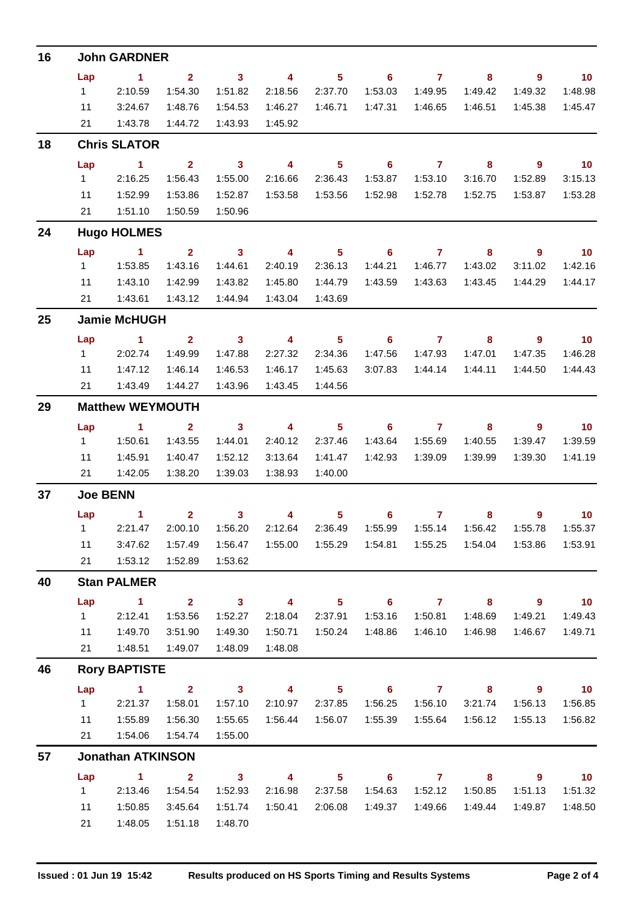| 16 | <b>John GARDNER</b>     |                          |                         |                         |                         |                            |                            |                |                            |                            |                          |  |  |  |
|----|-------------------------|--------------------------|-------------------------|-------------------------|-------------------------|----------------------------|----------------------------|----------------|----------------------------|----------------------------|--------------------------|--|--|--|
|    | Lap                     | $\sim$ 1                 | $2^{\circ}$             | $\sim$ 3                | $\overline{\mathbf{A}}$ | 5 <sub>5</sub>             |                            | $6\qquad 7$    | 8                          | $\overline{\phantom{a}}$ 9 | $\blacksquare$ 10        |  |  |  |
|    | $1 \quad$               | 2:10.59                  | 1:54.30                 | 1:51.82                 | 2:18.56                 | 2:37.70                    | 1:53.03                    | 1:49.95        | 1:49.42                    | 1:49.32                    | 1:48.98                  |  |  |  |
|    | 11                      | 3:24.67                  | 1:48.76                 | 1:54.53                 | 1:46.27                 | 1:46.71                    | 1:47.31                    | 1:46.65        | 1:46.51                    | 1:45.38                    | 1:45.47                  |  |  |  |
|    | 21                      | 1:43.78                  | 1:44.72                 | 1:43.93                 | 1:45.92                 |                            |                            |                |                            |                            |                          |  |  |  |
| 18 | <b>Chris SLATOR</b>     |                          |                         |                         |                         |                            |                            |                |                            |                            |                          |  |  |  |
|    | Lap                     | $\sim$ 1                 | $\overline{\mathbf{2}}$ | $\overline{\mathbf{3}}$ | $\overline{4}$          | 5 <sub>5</sub>             | $\overline{\phantom{0}}$ 6 | $\overline{7}$ | $\overline{\phantom{a}}$ 8 | $9^{\circ}$                | $\overline{10}$          |  |  |  |
|    | $1 \quad$               | 2:16.25                  | 1:56.43                 | 1:55.00                 | 2:16.66                 | 2:36.43                    | 1:53.87                    | 1:53.10        | 3:16.70                    | 1:52.89                    | 3:15.13                  |  |  |  |
|    | 11                      | 1:52.99                  | 1:53.86                 | 1:52.87                 | 1:53.58                 | 1:53.56                    | 1:52.98                    | 1:52.78        | 1:52.75                    | 1:53.87                    | 1:53.28                  |  |  |  |
|    | 21                      | 1:51.10                  | 1:50.59                 | 1:50.96                 |                         |                            |                            |                |                            |                            |                          |  |  |  |
| 24 |                         | <b>Hugo HOLMES</b>       |                         |                         |                         |                            |                            |                |                            |                            |                          |  |  |  |
|    | Lap                     | $\sim$ 1                 | 2 <sup>7</sup>          | $\sim$ 3                | $\overline{4}$          | 5 <sup>5</sup>             | $\overline{\phantom{0}}$ 6 | $\overline{7}$ | 8                          | 9                          | $\overline{10}$          |  |  |  |
|    | 1                       | 1:53.85                  | 1:43.16                 | 1:44.61                 | 2:40.19                 | 2:36.13                    | 1:44.21                    | 1:46.77        | 1:43.02                    | 3:11.02                    | 1:42.16                  |  |  |  |
|    | 11                      | 1:43.10                  | 1:42.99                 | 1:43.82                 | 1:45.80                 | 1:44.79                    | 1:43.59                    | 1:43.63        | 1:43.45                    | 1:44.29                    | 1:44.17                  |  |  |  |
|    | 21                      | 1:43.61                  | 1:43.12                 | 1:44.94                 | 1:43.04                 | 1:43.69                    |                            |                |                            |                            |                          |  |  |  |
| 25 |                         | <b>Jamie McHUGH</b>      |                         |                         |                         |                            |                            |                |                            |                            |                          |  |  |  |
|    | Lap                     | $\sim$ 1                 | 2 <sup>7</sup>          | $\overline{\mathbf{3}}$ | $\overline{4}$          | $\overline{\phantom{1}}$ 5 |                            | 67             | $\overline{\mathbf{8}}$    | $\overline{\phantom{a}}$   | $\overline{\mathbf{10}}$ |  |  |  |
|    | $1 -$                   | 2:02.74                  | 1:49.99                 | 1:47.88                 | 2:27.32                 | 2:34.36                    | 1:47.56                    | 1:47.93        | 1:47.01                    | 1:47.35                    | 1:46.28                  |  |  |  |
|    | 11                      | 1:47.12                  | 1:46.14                 | 1:46.53                 | 1:46.17                 | 1:45.63                    | 3:07.83                    | 1:44.14        | 1:44.11                    | 1:44.50                    | 1:44.43                  |  |  |  |
|    | 21                      | 1:43.49                  | 1:44.27                 | 1:43.96                 | 1:43.45                 | 1:44.56                    |                            |                |                            |                            |                          |  |  |  |
| 29 | <b>Matthew WEYMOUTH</b> |                          |                         |                         |                         |                            |                            |                |                            |                            |                          |  |  |  |
|    | Lap                     | $\sim$ 1                 | $\overline{\mathbf{2}}$ | $\sim$ 3                | $\overline{4}$          | $\overline{\phantom{0}}$ 5 |                            | $6$ $7$ $8$    |                            | - 9                        | $\blacksquare$ 10        |  |  |  |
|    | $1 \quad$               | 1:50.61                  | 1:43.55                 | 1:44.01                 | 2:40.12                 | 2:37.46                    | 1:43.64                    | 1:55.69        | 1:40.55                    | 1:39.47                    | 1:39.59                  |  |  |  |
|    | 11                      | 1:45.91                  | 1:40.47                 | 1:52.12                 | 3:13.64                 | 1:41.47                    | 1:42.93                    | 1:39.09        | 1:39.99                    | 1:39.30                    | 1:41.19                  |  |  |  |
|    | 21                      | 1:42.05                  | 1:38.20                 | 1:39.03                 | 1:38.93                 | 1:40.00                    |                            |                |                            |                            |                          |  |  |  |
| 37 | <b>Joe BENN</b>         |                          |                         |                         |                         |                            |                            |                |                            |                            |                          |  |  |  |
|    |                         | Lap 1                    | $\overline{\mathbf{2}}$ | $\sim$ 3                | $\overline{4}$          | 5 <sub>1</sub>             |                            | $6\qquad 7$    | 8                          | $9^{\circ}$                | 10                       |  |  |  |
|    |                         | $1$ 2:21.47              | 2:00.10                 | 1:56.20                 | 2:12.64                 | 2:36.49                    | 1:55.99                    | 1:55.14        | 1:56.42                    | 1:55.78                    | 1:55.37                  |  |  |  |
|    | 11                      | 3:47.62                  | 1:57.49                 | 1:56.47                 |                         |                            |                            |                | 1:54.04                    | 1:53.86                    | 1:53.91                  |  |  |  |
|    | 21                      | 1:53.12                  | 1:52.89                 | 1:53.62                 |                         |                            |                            |                |                            |                            |                          |  |  |  |
| 40 |                         | <b>Stan PALMER</b>       |                         |                         |                         |                            |                            |                |                            |                            |                          |  |  |  |
|    | Lap                     | $\blacktriangleleft$     | $2^{\circ}$             | $\overline{\mathbf{3}}$ | $\overline{\mathbf{4}}$ | 5 <sub>5</sub>             | $\overline{\phantom{a}}$ 6 | $\overline{7}$ | 8                          | 9                          | 10                       |  |  |  |
|    | $1 \quad$               | 2:12.41                  | 1:53.56                 | 1:52.27                 | 2:18.04                 | 2:37.91                    | 1:53.16                    | 1:50.81        | 1:48.69                    | 1:49.21                    | 1:49.43                  |  |  |  |
|    | 11                      | 1:49.70                  | 3:51.90                 | 1:49.30                 | 1:50.71                 | 1:50.24                    | 1:48.86                    | 1:46.10        | 1:46.98                    | 1:46.67                    | 1:49.71                  |  |  |  |
|    | 21                      | 1:48.51                  | 1:49.07                 | 1:48.09                 | 1:48.08                 |                            |                            |                |                            |                            |                          |  |  |  |
| 46 |                         | <b>Rory BAPTISTE</b>     |                         |                         |                         |                            |                            |                |                            |                            |                          |  |  |  |
|    | Lap                     | $\sim$ 1                 | 2 <sup>7</sup>          | $\overline{\mathbf{3}}$ | $\overline{\mathbf{4}}$ | 5 <sup>5</sup>             | $\overline{\phantom{a}}$ 6 | $\overline{7}$ | 8                          | $9^{\circ}$                | $-10$                    |  |  |  |
|    | $1 \quad$               | 2:21.37                  | 1:58.01                 | 1:57.10                 | 2:10.97                 | 2:37.85                    | 1:56.25                    | 1:56.10        | 3:21.74                    | 1:56.13                    | 1:56.85                  |  |  |  |
|    | 11                      | 1:55.89                  | 1:56.30                 | 1:55.65                 | 1:56.44                 | 1:56.07                    | 1:55.39                    | 1:55.64        | 1:56.12                    | 1:55.13                    | 1:56.82                  |  |  |  |
|    | 21                      | 1:54.06                  | 1:54.74                 | 1:55.00                 |                         |                            |                            |                |                            |                            |                          |  |  |  |
| 57 |                         | <b>Jonathan ATKINSON</b> |                         |                         |                         |                            |                            |                |                            |                            |                          |  |  |  |
|    | Lap                     | $\blacktriangleleft$     | $\overline{2}$          | $\overline{\mathbf{3}}$ | 4                       | 5 <sub>5</sub>             | $\overline{\phantom{0}}$ 6 | $\mathbf{7}$   | 8                          | 9                          | 10 <sub>1</sub>          |  |  |  |
|    | 1                       | 2:13.46                  | 1:54.54                 | 1:52.93                 | 2:16.98                 | 2:37.58                    | 1:54.63                    | 1:52.12        | 1:50.85                    | 1:51.13                    | 1:51.32                  |  |  |  |
|    | 11                      | 1:50.85                  | 3:45.64                 | 1:51.74                 | 1:50.41                 | 2:06.08                    | 1:49.37                    | 1:49.66        | 1:49.44                    | 1:49.87                    | 1:48.50                  |  |  |  |
|    | 21                      | 1:48.05                  | 1:51.18                 | 1:48.70                 |                         |                            |                            |                |                            |                            |                          |  |  |  |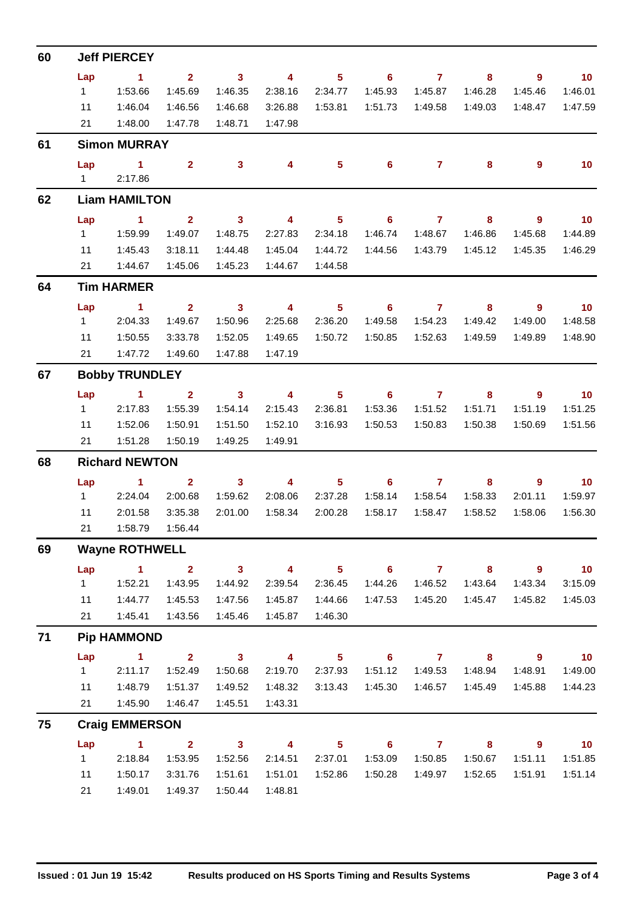| 60 | <b>Jeff PIERCEY</b>                            |                       |                         |                         |                         |                            |                            |                |                         |                          |                          |  |  |  |
|----|------------------------------------------------|-----------------------|-------------------------|-------------------------|-------------------------|----------------------------|----------------------------|----------------|-------------------------|--------------------------|--------------------------|--|--|--|
|    | Lap                                            | $\sim$ 1              | $\overline{2}$          | $\overline{\mathbf{3}}$ | $\overline{4}$          | 5 <sup>5</sup>             | $\overline{\phantom{0}}$ 6 | $\overline{7}$ | 8                       | 9                        | $\overline{\mathbf{10}}$ |  |  |  |
|    | $1 \quad$                                      | 1:53.66               | 1:45.69                 | 1:46.35                 | 2:38.16                 | 2:34.77                    | 1:45.93                    | 1:45.87        | 1:46.28                 | 1:45.46                  | 1:46.01                  |  |  |  |
|    | 11                                             | 1:46.04               | 1:46.56                 | 1:46.68                 | 3:26.88                 | 1:53.81                    | 1:51.73                    | 1:49.58        | 1:49.03                 | 1:48.47                  | 1:47.59                  |  |  |  |
|    | 21                                             | 1:48.00               | 1:47.78                 | 1:48.71                 | 1:47.98                 |                            |                            |                |                         |                          |                          |  |  |  |
| 61 | <b>Simon MURRAY</b>                            |                       |                         |                         |                         |                            |                            |                |                         |                          |                          |  |  |  |
|    | Lap<br>$1 \quad$                               | $\sim$ 1<br>2:17.86   | $\overline{2}$          | 3 <sup>1</sup>          | $\overline{\mathbf{4}}$ | 5 <sup>5</sup>             | $6^{\circ}$                | $\mathbf{7}$   | 8                       | 9                        | 10                       |  |  |  |
| 62 | <b>Liam HAMILTON</b>                           |                       |                         |                         |                         |                            |                            |                |                         |                          |                          |  |  |  |
|    | Lap                                            | $\sim$ 1              | $\mathbf{2}$            | $\mathbf{3}$            | $\overline{4}$          | $\overline{\phantom{0}}$ 5 | $\overline{\phantom{0}}$ 6 | $\overline{7}$ | 8                       | 9                        | $\overline{10}$          |  |  |  |
|    | $1 -$                                          | 1:59.99               | 1:49.07                 | 1:48.75                 | 2:27.83                 | 2:34.18                    | 1:46.74                    | 1:48.67        | 1:46.86                 | 1:45.68                  | 1:44.89                  |  |  |  |
|    | 11                                             | 1:45.43               | 3:18.11                 | 1:44.48                 | 1:45.04                 | 1:44.72                    | 1:44.56                    | 1:43.79        | 1:45.12                 | 1:45.35                  | 1:46.29                  |  |  |  |
|    | 21                                             | 1:44.67               | 1:45.06                 | 1:45.23                 | 1:44.67                 | 1:44.58                    |                            |                |                         |                          |                          |  |  |  |
| 64 |                                                | <b>Tim HARMER</b>     |                         |                         |                         |                            |                            |                |                         |                          |                          |  |  |  |
|    | Lap                                            | $\sim$ 1              | 2 <sup>1</sup>          | $\overline{\mathbf{3}}$ | $\overline{4}$          | 5 <sup>5</sup>             | $\overline{\phantom{0}}$ 6 | $\overline{7}$ | 8                       | $9^{\circ}$              | $\overline{10}$          |  |  |  |
|    | $1 \quad$                                      | 2:04.33               | 1:49.67                 | 1:50.96                 | 2:25.68                 | 2:36.20                    | 1:49.58                    | 1:54.23        | 1:49.42                 | 1:49.00                  | 1:48.58                  |  |  |  |
|    | 11                                             | 1:50.55               | 3:33.78                 | 1:52.05                 | 1:49.65                 | 1:50.72                    | 1:50.85                    | 1:52.63        | 1:49.59                 | 1:49.89                  | 1:48.90                  |  |  |  |
|    | 21                                             | 1:47.72               | 1:49.60                 | 1:47.88                 | 1:47.19                 |                            |                            |                |                         |                          |                          |  |  |  |
| 67 |                                                | <b>Bobby TRUNDLEY</b> |                         |                         |                         |                            |                            |                |                         |                          |                          |  |  |  |
|    | Lap                                            | $\blacktriangleleft$  | $\overline{2}$          | $\mathbf{3}$            | $\overline{4}$          | $5\phantom{.0}$            | 6                          | $\overline{7}$ | 8                       | 9                        | 10                       |  |  |  |
|    | 1                                              | 2:17.83               | 1:55.39                 | 1:54.14                 | 2:15.43                 | 2:36.81                    | 1:53.36                    | 1:51.52        | 1:51.71                 | 1:51.19                  | 1:51.25                  |  |  |  |
|    | 11                                             | 1:52.06               | 1:50.91                 | 1:51.50                 | 1:52.10                 | 3:16.93                    | 1:50.53                    | 1:50.83        | 1:50.38                 | 1:50.69                  | 1:51.56                  |  |  |  |
|    | 21                                             | 1:51.28               | 1:50.19                 | 1:49.25                 | 1:49.91                 |                            |                            |                |                         |                          |                          |  |  |  |
| 68 | <b>Richard NEWTON</b>                          |                       |                         |                         |                         |                            |                            |                |                         |                          |                          |  |  |  |
|    | Lap                                            | $\blacktriangleleft$  | $\overline{2}$          | $\mathbf{3}$            | $\overline{4}$          | 5 <sup>5</sup>             | 6                          | $\overline{7}$ | 8                       | $\overline{9}$           | 10                       |  |  |  |
|    | $1 \quad$                                      | 2:24.04               | 2:00.68                 | 1:59.62                 | 2:08.06                 | 2:37.28                    | 1:58.14                    | 1:58.54        | 1:58.33                 | 2:01.11                  | 1:59.97                  |  |  |  |
|    | 11                                             | 2:01.58               | 3:35.38                 | 2:01.00                 | 1:58.34                 | 2:00.28                    | 1:58.17                    | 1:58.47        | 1:58.52                 | 1:58.06                  | 1:56.30                  |  |  |  |
|    | 21                                             | 1:58.79               | 1:56.44                 |                         |                         |                            |                            |                |                         |                          |                          |  |  |  |
| 69 | <b>Wayne ROTHWELL</b>                          |                       |                         |                         |                         |                            |                            |                |                         |                          |                          |  |  |  |
|    | Lap                                            | $\mathbf{1}$          | 2 <sup>1</sup>          | 3 <sup>7</sup>          | $\overline{\mathbf{4}}$ | 5 <sup>1</sup>             | 6 <sup>1</sup>             | $\overline{7}$ | 8                       | $9^{\circ}$              | 10                       |  |  |  |
|    | 1                                              | 1:52.21               | 1:43.95                 | 1:44.92                 | 2:39.54                 | 2:36.45                    | 1:44.26                    | 1:46.52        | 1:43.64                 | 1:43.34                  | 3:15.09                  |  |  |  |
|    | 11                                             | 1:44.77               | 1:45.53                 | 1:47.56                 | 1:45.87                 | 1:44.66                    | 1:47.53                    | 1:45.20        | 1:45.47                 | 1:45.82                  | 1:45.03                  |  |  |  |
|    | 21                                             | 1:45.41               | 1:43.56                 | 1:45.46                 | 1:45.87                 | 1:46.30                    |                            |                |                         |                          |                          |  |  |  |
| 71 |                                                | <b>Pip HAMMOND</b>    |                         |                         |                         |                            |                            |                |                         |                          |                          |  |  |  |
|    | Lap                                            | $\sim$ 1              | $\overline{\mathbf{2}}$ | $\overline{\mathbf{3}}$ | $\overline{4}$          | $\overline{\phantom{0}}$ 5 | $\overline{\phantom{a}}$ 6 | $\overline{7}$ | $\overline{\mathbf{8}}$ | $\overline{\phantom{a}}$ | $\blacksquare$ 10        |  |  |  |
|    | 1                                              | 2:11.17               | 1:52.49                 | 1:50.68                 | 2:19.70                 | 2:37.93                    | 1:51.12                    | 1:49.53        | 1:48.94                 | 1:48.91                  | 1:49.00                  |  |  |  |
|    | 11                                             | 1:48.79               | 1:51.37                 | 1:49.52                 | 1:48.32                 | 3:13.43                    | 1:45.30                    | 1:46.57        | 1:45.49                 | 1:45.88                  | 1:44.23                  |  |  |  |
|    | 21<br>1:45.90<br>1:45.51<br>1:43.31<br>1:46.47 |                       |                         |                         |                         |                            |                            |                |                         |                          |                          |  |  |  |
| 75 |                                                | <b>Craig EMMERSON</b> |                         |                         |                         |                            |                            |                |                         |                          |                          |  |  |  |
|    | Lap                                            | $\blacktriangleleft$  | $\overline{2}$          | $\overline{\mathbf{3}}$ | $\overline{4}$          | 5 <sub>1</sub>             | $\overline{\phantom{a}}$ 6 | $\overline{7}$ | 8                       | 9                        | $\overline{10}$          |  |  |  |
|    | 1                                              | 2:18.84               | 1:53.95                 | 1:52.56                 | 2:14.51                 | 2:37.01                    | 1:53.09                    | 1:50.85        | 1:50.67                 | 1:51.11                  | 1:51.85                  |  |  |  |
|    | 11                                             | 1:50.17               | 3:31.76                 | 1:51.61                 | 1:51.01                 | 1:52.86                    | 1:50.28                    | 1:49.97        | 1:52.65                 | 1:51.91                  | 1:51.14                  |  |  |  |
|    | 21                                             | 1:49.01               | 1:49.37                 | 1:50.44                 | 1:48.81                 |                            |                            |                |                         |                          |                          |  |  |  |